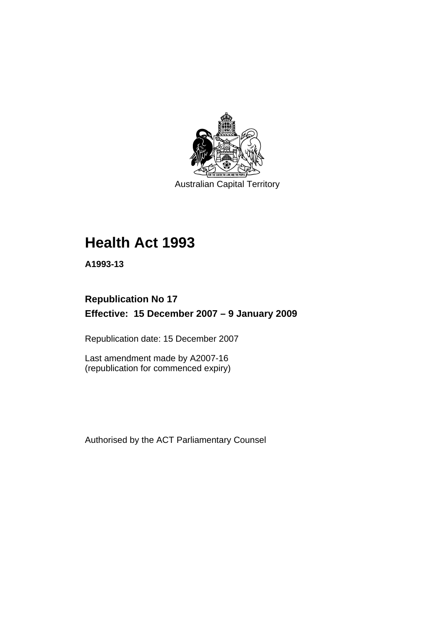

Australian Capital Territory

# **[Health Act 1993](#page-8-0)**

**A1993-13** 

### **Republication No 17 Effective: 15 December 2007 – 9 January 2009**

Republication date: 15 December 2007

Last amendment made by A2007-16 (republication for commenced expiry)

Authorised by the ACT Parliamentary Counsel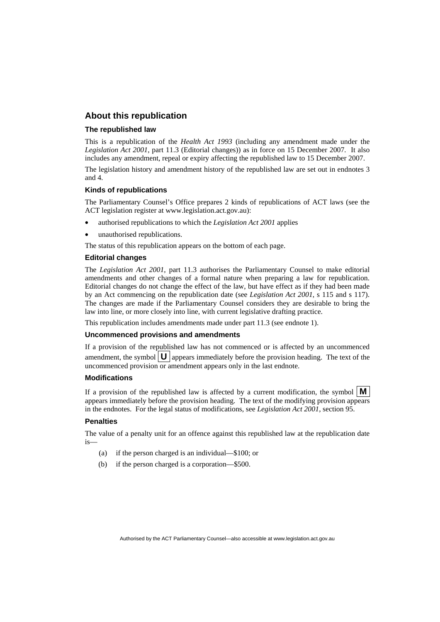#### **About this republication**

#### **The republished law**

This is a republication of the *Health Act 1993* (including any amendment made under the *Legislation Act 2001*, part 11.3 (Editorial changes)) as in force on 15 December 2007*.* It also includes any amendment, repeal or expiry affecting the republished law to 15 December 2007.

The legislation history and amendment history of the republished law are set out in endnotes 3 and 4.

#### **Kinds of republications**

The Parliamentary Counsel's Office prepares 2 kinds of republications of ACT laws (see the ACT legislation register at www.legislation.act.gov.au):

- authorised republications to which the *Legislation Act 2001* applies
- unauthorised republications.

The status of this republication appears on the bottom of each page.

#### **Editorial changes**

The *Legislation Act 2001*, part 11.3 authorises the Parliamentary Counsel to make editorial amendments and other changes of a formal nature when preparing a law for republication. Editorial changes do not change the effect of the law, but have effect as if they had been made by an Act commencing on the republication date (see *Legislation Act 2001*, s 115 and s 117). The changes are made if the Parliamentary Counsel considers they are desirable to bring the law into line, or more closely into line, with current legislative drafting practice.

This republication includes amendments made under part 11.3 (see endnote 1).

#### **Uncommenced provisions and amendments**

If a provision of the republished law has not commenced or is affected by an uncommenced amendment, the symbol  $\mathbf{U}$  appears immediately before the provision heading. The text of the uncommenced provision or amendment appears only in the last endnote.

#### **Modifications**

If a provision of the republished law is affected by a current modification, the symbol  $\mathbf{M}$ appears immediately before the provision heading. The text of the modifying provision appears in the endnotes. For the legal status of modifications, see *Legislation Act 2001*, section 95.

#### **Penalties**

The value of a penalty unit for an offence against this republished law at the republication date is—

- (a) if the person charged is an individual—\$100; or
- (b) if the person charged is a corporation—\$500.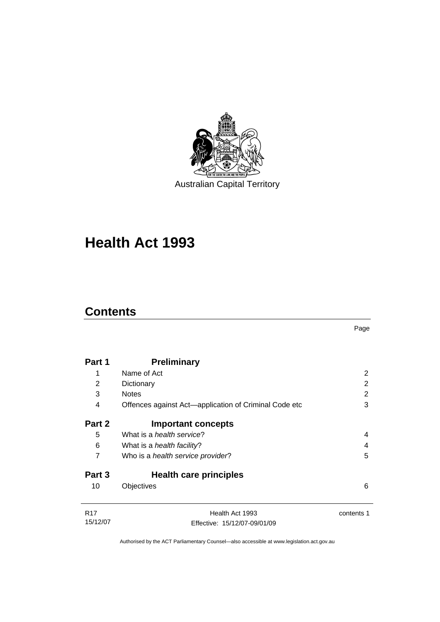

# **[Health Act 1993](#page-8-0)**

### **Contents**

| Part 1     | <b>Preliminary</b>                                    |            |
|------------|-------------------------------------------------------|------------|
| 1          | Name of Act                                           | 2          |
| 2          | Dictionary                                            | 2          |
| 3          | <b>Notes</b>                                          | 2          |
| 4          | Offences against Act—application of Criminal Code etc | 3          |
| Part 2     | <b>Important concepts</b>                             |            |
| 5          | What is a <i>health service</i> ?                     | 4          |
| 6          | What is a <i>health facility</i> ?                    | 4          |
| 7          | Who is a <i>health service provider</i> ?             | 5          |
| Part 3     | <b>Health care principles</b>                         |            |
| 10         | Objectives                                            | 6          |
| <b>R17</b> | Health Act 1993                                       | contents 1 |
| 15/12/07   | Effective: 15/12/07-09/01/09                          |            |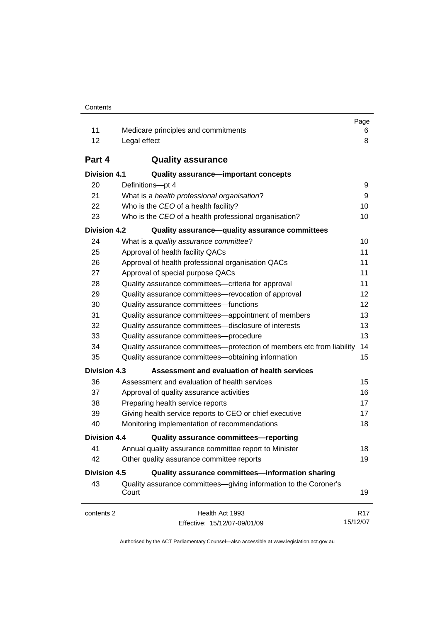| Contents |
|----------|
|----------|

|                     |                                                                           | Page            |
|---------------------|---------------------------------------------------------------------------|-----------------|
| 11                  | Medicare principles and commitments                                       | 6               |
| 12                  | Legal effect                                                              | 8               |
| Part 4              | <b>Quality assurance</b>                                                  |                 |
| <b>Division 4.1</b> | <b>Quality assurance-important concepts</b>                               |                 |
| 20                  | Definitions-pt 4                                                          | 9               |
| 21                  | What is a health professional organisation?                               | 9               |
| 22                  | Who is the CEO of a health facility?                                      | 10              |
| 23                  | Who is the CEO of a health professional organisation?                     | 10              |
| <b>Division 4.2</b> | Quality assurance-quality assurance committees                            |                 |
| 24                  | What is a quality assurance committee?                                    | 10              |
| 25                  | Approval of health facility QACs                                          | 11              |
| 26                  | Approval of health professional organisation QACs                         | 11              |
| 27                  | Approval of special purpose QACs                                          | 11              |
| 28                  | Quality assurance committees-criteria for approval                        | 11              |
| 29                  | Quality assurance committees-revocation of approval                       | 12              |
| 30                  | Quality assurance committees-functions                                    | 12              |
| 31                  | Quality assurance committees—appointment of members                       | 13              |
| 32                  | Quality assurance committees-disclosure of interests                      | 13              |
| 33                  | Quality assurance committees--procedure                                   | 13              |
| 34                  | Quality assurance committees—protection of members etc from liability     | 14              |
| 35                  | Quality assurance committees-obtaining information                        | 15              |
| <b>Division 4.3</b> | Assessment and evaluation of health services                              |                 |
| 36                  | Assessment and evaluation of health services                              | 15              |
| 37                  | Approval of quality assurance activities                                  | 16              |
| 38                  | Preparing health service reports                                          | 17              |
| 39                  | Giving health service reports to CEO or chief executive                   | 17              |
| 40                  | Monitoring implementation of recommendations                              | 18              |
| <b>Division 4.4</b> | Quality assurance committees-reporting                                    |                 |
| 41                  | Annual quality assurance committee report to Minister                     | 18              |
| 42                  | Other quality assurance committee reports                                 | 19              |
| <b>Division 4.5</b> | Quality assurance committees-information sharing                          |                 |
| 43                  | Quality assurance committees-giving information to the Coroner's<br>Court | 19              |
| contents 2          | Health Act 1993                                                           | R <sub>17</sub> |
|                     | Effective: 15/12/07-09/01/09                                              | 15/12/07        |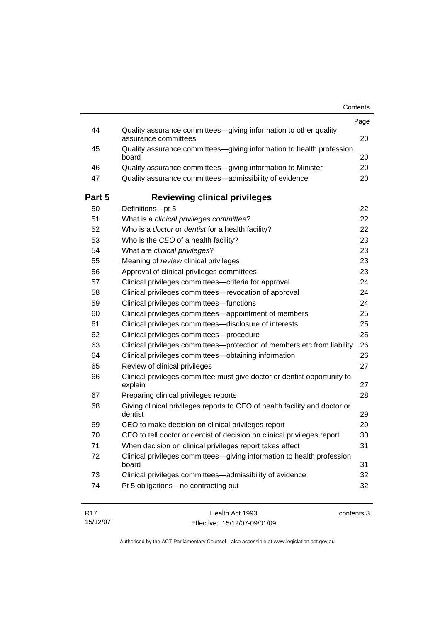|        | Contents                                                                              |      |
|--------|---------------------------------------------------------------------------------------|------|
| 44     | Quality assurance committees-giving information to other quality                      | Page |
|        | assurance committees                                                                  | 20   |
| 45     | Quality assurance committees-giving information to health profession<br>board         | 20   |
| 46     | Quality assurance committees-giving information to Minister                           | 20   |
| 47     | Quality assurance committees-admissibility of evidence                                | 20   |
| Part 5 | <b>Reviewing clinical privileges</b>                                                  |      |
| 50     | Definitions-pt 5                                                                      | 22   |
| 51     | What is a clinical privileges committee?                                              | 22   |
| 52     | Who is a doctor or dentist for a health facility?                                     | 22   |
| 53     | Who is the CEO of a health facility?                                                  | 23   |
| 54     | What are clinical privileges?                                                         | 23   |
| 55     | Meaning of review clinical privileges                                                 | 23   |
| 56     | Approval of clinical privileges committees                                            | 23   |
| 57     | Clinical privileges committees-criteria for approval                                  | 24   |
| 58     | Clinical privileges committees-revocation of approval                                 | 24   |
| 59     | Clinical privileges committees-functions                                              | 24   |
| 60     | Clinical privileges committees-appointment of members                                 | 25   |
| 61     | Clinical privileges committees-disclosure of interests                                | 25   |
| 62     | Clinical privileges committees-procedure                                              | 25   |
| 63     | Clinical privileges committees-protection of members etc from liability               | 26   |
| 64     | Clinical privileges committees-obtaining information                                  | 26   |
| 65     | Review of clinical privileges                                                         | 27   |
| 66     | Clinical privileges committee must give doctor or dentist opportunity to<br>explain   | 27   |
| 67     | Preparing clinical privileges reports                                                 | 28   |
| 68     | Giving clinical privileges reports to CEO of health facility and doctor or<br>dentist | 29   |
| 69     | CEO to make decision on clinical privileges report                                    | 29   |
| 70     | CEO to tell doctor or dentist of decision on clinical privileges report               | 30   |
| 71     | When decision on clinical privileges report takes effect                              | 31   |
| 72     | Clinical privileges committees-giving information to health profession<br>board       | 31   |
| 73     | Clinical privileges committees-admissibility of evidence                              | 32   |
| 74     | Pt 5 obligations-no contracting out                                                   | 32   |

| R17      | Health Act 1993              | contents 3 |
|----------|------------------------------|------------|
| 15/12/07 | Effective: 15/12/07-09/01/09 |            |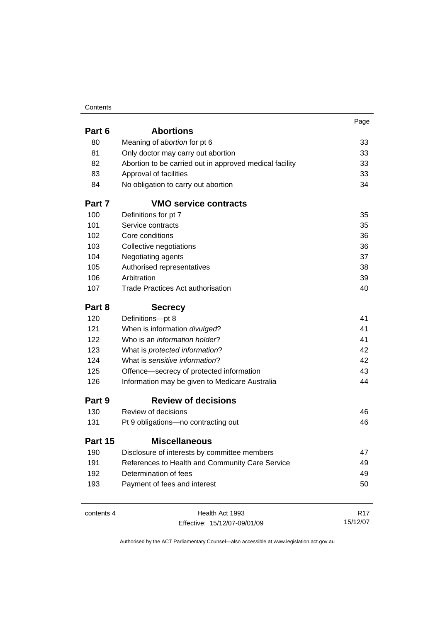#### Contents

|            |                                                         | Page            |
|------------|---------------------------------------------------------|-----------------|
| Part 6     | <b>Abortions</b>                                        |                 |
| 80         | Meaning of abortion for pt 6                            | 33              |
| 81         | Only doctor may carry out abortion                      | 33              |
| 82         | Abortion to be carried out in approved medical facility | 33              |
| 83         | Approval of facilities                                  | 33              |
| 84         | No obligation to carry out abortion                     | 34              |
| Part 7     | <b>VMO service contracts</b>                            |                 |
| 100        | Definitions for pt 7                                    | 35              |
| 101        | Service contracts                                       | 35              |
| 102        | Core conditions                                         | 36              |
| 103        | Collective negotiations                                 | 36              |
| 104        | Negotiating agents                                      | 37              |
| 105        | Authorised representatives                              | 38              |
| 106        | Arbitration                                             | 39              |
| 107        | <b>Trade Practices Act authorisation</b>                | 40              |
| Part 8     | <b>Secrecy</b>                                          |                 |
| 120        | Definitions-pt 8                                        | 41              |
| 121        | When is information divulged?                           | 41              |
| 122        | Who is an <i>information holder</i> ?                   | 41              |
| 123        | What is protected information?                          | 42              |
| 124        | What is sensitive information?                          | 42              |
| 125        | Offence-secrecy of protected information                | 43              |
| 126        | Information may be given to Medicare Australia          | 44              |
| Part 9     | <b>Review of decisions</b>                              |                 |
| 130        | Review of decisions                                     | 46              |
| 131        | Pt 9 obligations-no contracting out                     | 46              |
| Part 15    | <b>Miscellaneous</b>                                    |                 |
| 190        | Disclosure of interests by committee members            | 47              |
| 191        | References to Health and Community Care Service         | 49              |
| 192        | Determination of fees                                   | 49              |
| 193        | Payment of fees and interest                            | 50              |
|            |                                                         |                 |
| contents 4 | Health Act 1993                                         | R <sub>17</sub> |

Effective: 15/12/07-09/01/09

15/12/07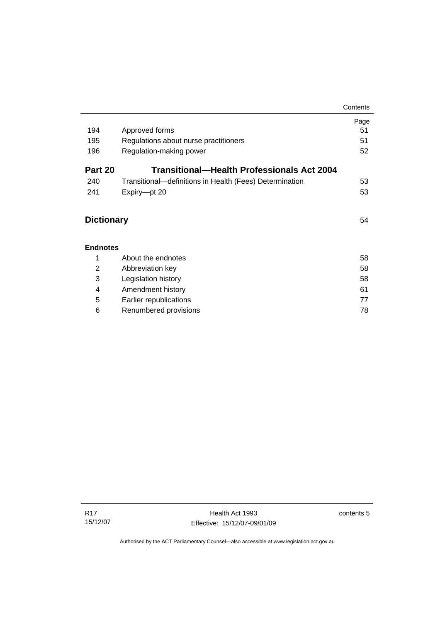|                |                                                         | Contents |  |  |
|----------------|---------------------------------------------------------|----------|--|--|
|                |                                                         | Page     |  |  |
| 194            | Approved forms                                          | 51       |  |  |
| 195            | Regulations about nurse practitioners                   | 51       |  |  |
| 196            | Regulation-making power                                 | 52       |  |  |
| Part 20        | Transitional—Health Professionals Act 2004              |          |  |  |
| 240            | Transitional—definitions in Health (Fees) Determination | 53       |  |  |
| 241            | Expiry-pt 20                                            | 53       |  |  |
|                |                                                         |          |  |  |
|                | <b>Dictionary</b>                                       |          |  |  |
|                |                                                         |          |  |  |
|                | <b>Endnotes</b>                                         |          |  |  |
| 1              | About the endnotes                                      | 58       |  |  |
| $\overline{2}$ | Abbreviation key                                        | 58       |  |  |
| 3              | Legislation history                                     | 58       |  |  |
| 4              | Amendment history                                       | 61       |  |  |
| 5              | Earlier republications                                  | 77       |  |  |
| 6              | Renumbered provisions                                   | 78       |  |  |

contents 5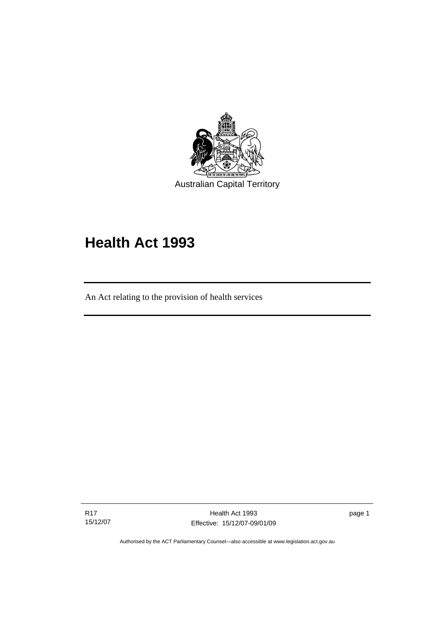<span id="page-8-0"></span>

# **Health Act 1993**

An Act relating to the provision of health services

R17 15/12/07

l

Health Act 1993 Effective: 15/12/07-09/01/09

page 1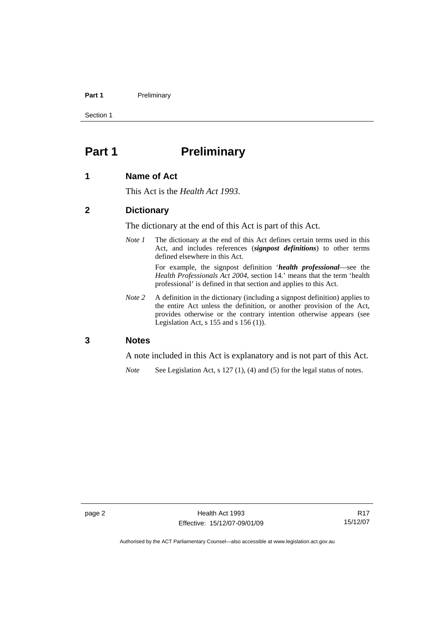#### <span id="page-9-0"></span>Part 1 **Preliminary**

Section 1

## **Part 1** Preliminary

#### **1 Name of Act**

This Act is the *Health Act 1993*.

#### **2 Dictionary**

The dictionary at the end of this Act is part of this Act.

*Note 1* The dictionary at the end of this Act defines certain terms used in this Act, and includes references (*signpost definitions*) to other terms defined elsewhere in this Act.

> For example, the signpost definition '*health professional*—see the *Health Professionals Act 2004*, section 14.' means that the term 'health professional' is defined in that section and applies to this Act.

*Note 2* A definition in the dictionary (including a signpost definition) applies to the entire Act unless the definition, or another provision of the Act, provides otherwise or the contrary intention otherwise appears (see Legislation Act,  $s$  155 and  $s$  156 (1)).

#### **3 Notes**

A note included in this Act is explanatory and is not part of this Act.

*Note* See Legislation Act, s 127 (1), (4) and (5) for the legal status of notes.

R17 15/12/07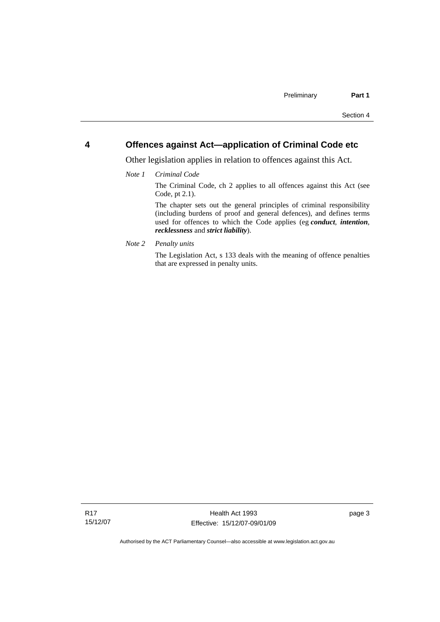#### <span id="page-10-0"></span>**4 Offences against Act—application of Criminal Code etc**

Other legislation applies in relation to offences against this Act.

*Note 1 Criminal Code*

The Criminal Code, ch 2 applies to all offences against this Act (see Code, pt 2.1).

The chapter sets out the general principles of criminal responsibility (including burdens of proof and general defences), and defines terms used for offences to which the Code applies (eg *conduct*, *intention*, *recklessness* and *strict liability*).

*Note 2 Penalty units* 

The Legislation Act, s 133 deals with the meaning of offence penalties that are expressed in penalty units.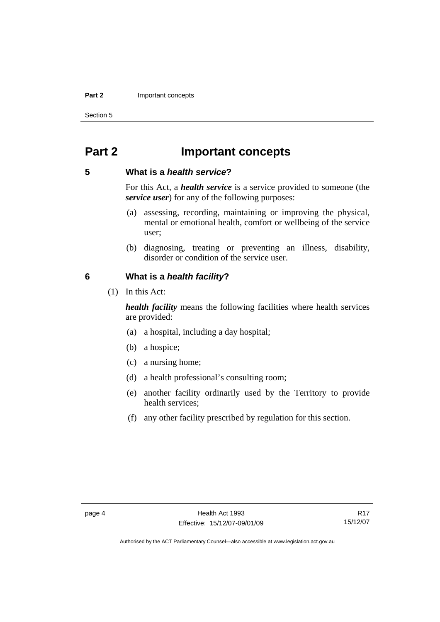#### <span id="page-11-0"></span>**Part 2** Important concepts

Section 5

### **Part 2 Important concepts**

#### **5 What is a** *health service***?**

For this Act, a *health service* is a service provided to someone (the *service user*) for any of the following purposes:

- (a) assessing, recording, maintaining or improving the physical, mental or emotional health, comfort or wellbeing of the service user;
- (b) diagnosing, treating or preventing an illness, disability, disorder or condition of the service user.

#### **6 What is a** *health facility***?**

(1) In this Act:

*health facility* means the following facilities where health services are provided:

- (a) a hospital, including a day hospital;
- (b) a hospice;
- (c) a nursing home;
- (d) a health professional's consulting room;
- (e) another facility ordinarily used by the Territory to provide health services;
- (f) any other facility prescribed by regulation for this section.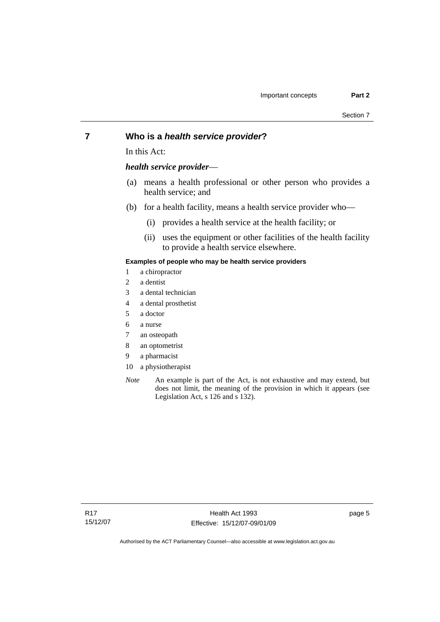#### <span id="page-12-0"></span>**7 Who is a** *health service provider***?**

In this Act:

#### *health service provider*—

- (a) means a health professional or other person who provides a health service; and
- (b) for a health facility, means a health service provider who—
	- (i) provides a health service at the health facility; or
	- (ii) uses the equipment or other facilities of the health facility to provide a health service elsewhere.

#### **Examples of people who may be health service providers**

- 1 a chiropractor
- 2 a dentist
- 3 a dental technician
- 4 a dental prosthetist
- 5 a doctor
- 6 a nurse
- 7 an osteopath
- 8 an optometrist
- 9 a pharmacist
- 10 a physiotherapist
- *Note* An example is part of the Act, is not exhaustive and may extend, but does not limit, the meaning of the provision in which it appears (see Legislation Act, s 126 and s 132).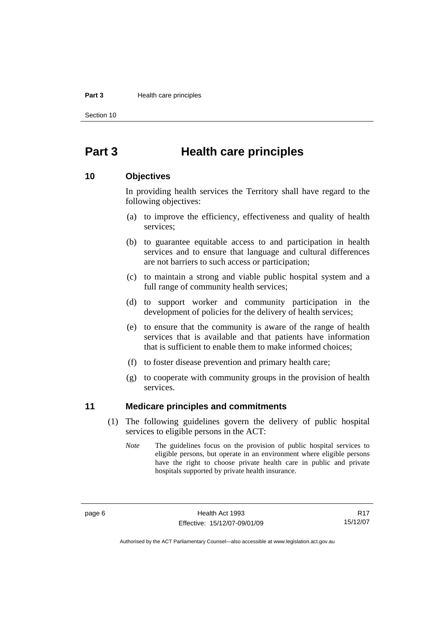#### <span id="page-13-0"></span>**Part 3** Health care principles

Section 10

### **Part 3 Health care principles**

#### **10 Objectives**

In providing health services the Territory shall have regard to the following objectives:

- (a) to improve the efficiency, effectiveness and quality of health services;
- (b) to guarantee equitable access to and participation in health services and to ensure that language and cultural differences are not barriers to such access or participation;
- (c) to maintain a strong and viable public hospital system and a full range of community health services;
- (d) to support worker and community participation in the development of policies for the delivery of health services;
- (e) to ensure that the community is aware of the range of health services that is available and that patients have information that is sufficient to enable them to make informed choices;
- (f) to foster disease prevention and primary health care;
- (g) to cooperate with community groups in the provision of health services.

#### **11 Medicare principles and commitments**

- (1) The following guidelines govern the delivery of public hospital services to eligible persons in the ACT:
	- *Note* The guidelines focus on the provision of public hospital services to eligible persons, but operate in an environment where eligible persons have the right to choose private health care in public and private hospitals supported by private health insurance.

R17 15/12/07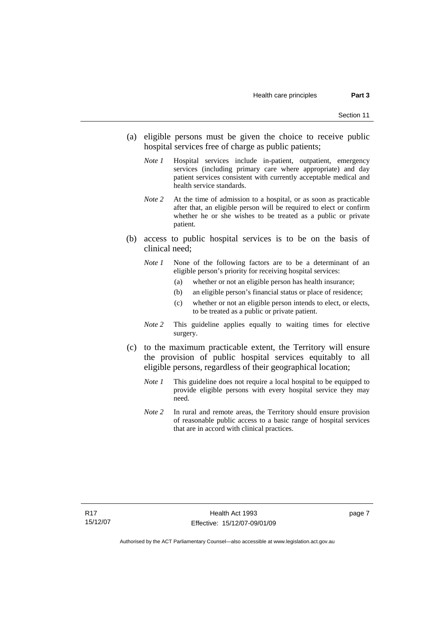- (a) eligible persons must be given the choice to receive public hospital services free of charge as public patients;
	- *Note 1* Hospital services include in-patient, outpatient, emergency services (including primary care where appropriate) and day patient services consistent with currently acceptable medical and health service standards.
	- *Note 2* At the time of admission to a hospital, or as soon as practicable after that, an eligible person will be required to elect or confirm whether he or she wishes to be treated as a public or private patient.
- (b) access to public hospital services is to be on the basis of clinical need;
	- *Note 1* None of the following factors are to be a determinant of an eligible person's priority for receiving hospital services:
		- (a) whether or not an eligible person has health insurance;
		- (b) an eligible person's financial status or place of residence;
		- (c) whether or not an eligible person intends to elect, or elects, to be treated as a public or private patient.
	- *Note 2* This guideline applies equally to waiting times for elective surgery.
- (c) to the maximum practicable extent, the Territory will ensure the provision of public hospital services equitably to all eligible persons, regardless of their geographical location;
	- *Note 1* This guideline does not require a local hospital to be equipped to provide eligible persons with every hospital service they may need.
	- *Note 2* In rural and remote areas, the Territory should ensure provision of reasonable public access to a basic range of hospital services that are in accord with clinical practices.

page 7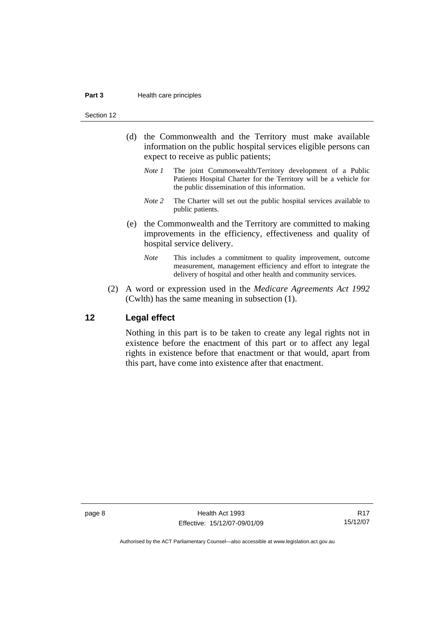#### <span id="page-15-0"></span>**Part 3** Health care principles

Section 12

- (d) the Commonwealth and the Territory must make available information on the public hospital services eligible persons can expect to receive as public patients;
	- *Note 1* The joint Commonwealth/Territory development of a Public Patients Hospital Charter for the Territory will be a vehicle for the public dissemination of this information.
	- *Note* 2 The Charter will set out the public hospital services available to public patients.
- (e) the Commonwealth and the Territory are committed to making improvements in the efficiency, effectiveness and quality of hospital service delivery.
	- *Note* This includes a commitment to quality improvement, outcome measurement, management efficiency and effort to integrate the delivery of hospital and other health and community services.
- (2) A word or expression used in the *Medicare Agreements Act 1992* (Cwlth) has the same meaning in subsection (1).

#### **12 Legal effect**

Nothing in this part is to be taken to create any legal rights not in existence before the enactment of this part or to affect any legal rights in existence before that enactment or that would, apart from this part, have come into existence after that enactment.

page 8 **Health Act 1993** Effective: 15/12/07-09/01/09

R17 15/12/07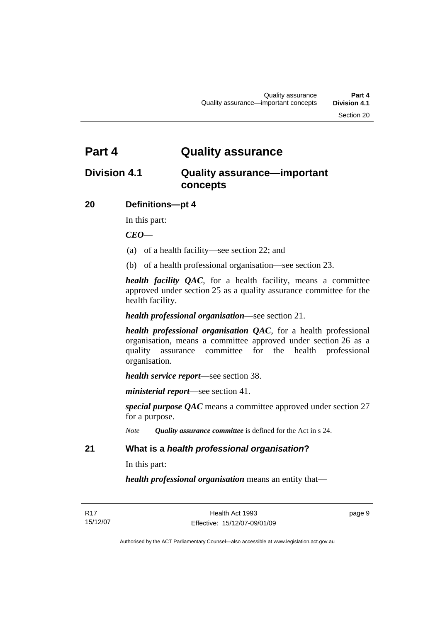### <span id="page-16-0"></span>**Part 4 Quality assurance**

### **Division 4.1 Quality assurance—important concepts**

#### **20 Definitions—pt 4**

In this part:

*CEO*—

- (a) of a health facility—see section 22; and
- (b) of a health professional organisation—see section 23.

*health facility QAC*, for a health facility, means a committee approved under section 25 as a quality assurance committee for the health facility.

*health professional organisation*—see section 21.

*health professional organisation QAC*, for a health professional organisation, means a committee approved under section 26 as a quality assurance committee for the health professional organisation.

*health service report*—see section 38.

*ministerial report*—see section 41.

*special purpose QAC* means a committee approved under section 27 for a purpose.

*Note Quality assurance committee* is defined for the Act in s 24.

#### **21 What is a** *health professional organisation***?**

In this part:

*health professional organisation* means an entity that—

page 9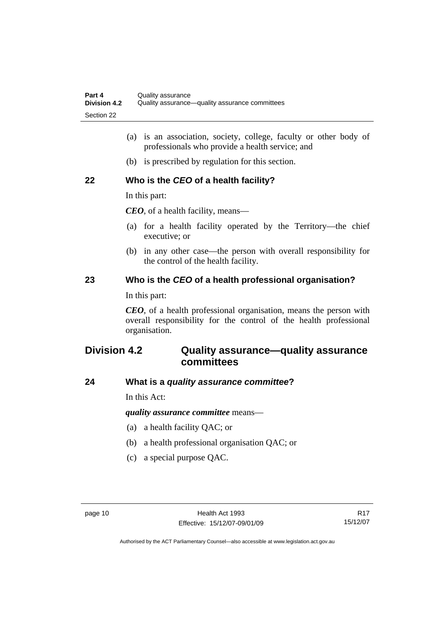- <span id="page-17-0"></span> (a) is an association, society, college, faculty or other body of professionals who provide a health service; and
- (b) is prescribed by regulation for this section.

#### **22 Who is the** *CEO* **of a health facility?**

In this part:

*CEO*, of a health facility, means—

- (a) for a health facility operated by the Territory—the chief executive; or
- (b) in any other case—the person with overall responsibility for the control of the health facility.

#### **23 Who is the** *CEO* **of a health professional organisation?**

In this part:

*CEO*, of a health professional organisation, means the person with overall responsibility for the control of the health professional organisation.

### **Division 4.2 Quality assurance—quality assurance committees**

#### **24 What is a** *quality assurance committee***?**

In this Act:

*quality assurance committee* means—

- (a) a health facility QAC; or
- (b) a health professional organisation QAC; or
- (c) a special purpose QAC.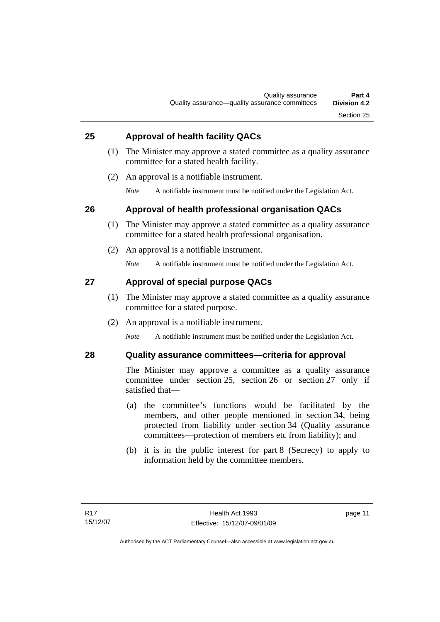#### <span id="page-18-0"></span>**25 Approval of health facility QACs**

- (1) The Minister may approve a stated committee as a quality assurance committee for a stated health facility.
- (2) An approval is a notifiable instrument.
	- *Note* A notifiable instrument must be notified under the Legislation Act.

#### **26 Approval of health professional organisation QACs**

- (1) The Minister may approve a stated committee as a quality assurance committee for a stated health professional organisation.
- (2) An approval is a notifiable instrument.

*Note* A notifiable instrument must be notified under the Legislation Act.

#### **27 Approval of special purpose QACs**

- (1) The Minister may approve a stated committee as a quality assurance committee for a stated purpose.
- (2) An approval is a notifiable instrument.

*Note* A notifiable instrument must be notified under the Legislation Act.

#### **28 Quality assurance committees—criteria for approval**

The Minister may approve a committee as a quality assurance committee under section 25, section 26 or section 27 only if satisfied that—

- (a) the committee's functions would be facilitated by the members, and other people mentioned in section 34, being protected from liability under section 34 (Quality assurance committees—protection of members etc from liability); and
- (b) it is in the public interest for part 8 (Secrecy) to apply to information held by the committee members.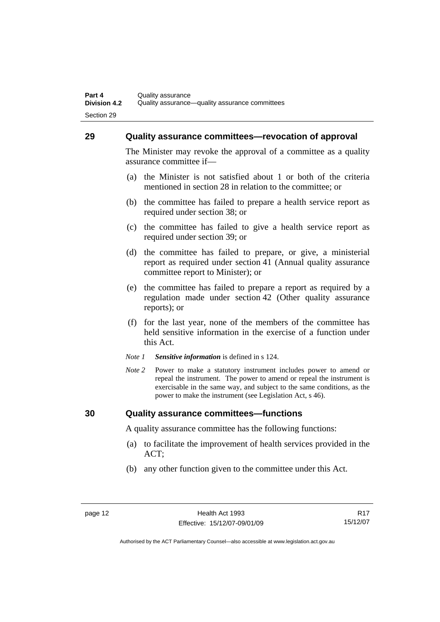#### <span id="page-19-0"></span>**29 Quality assurance committees—revocation of approval**

The Minister may revoke the approval of a committee as a quality assurance committee if—

- (a) the Minister is not satisfied about 1 or both of the criteria mentioned in section 28 in relation to the committee; or
- (b) the committee has failed to prepare a health service report as required under section 38; or
- (c) the committee has failed to give a health service report as required under section 39; or
- (d) the committee has failed to prepare, or give, a ministerial report as required under section 41 (Annual quality assurance committee report to Minister); or
- (e) the committee has failed to prepare a report as required by a regulation made under section 42 (Other quality assurance reports); or
- (f) for the last year, none of the members of the committee has held sensitive information in the exercise of a function under this Act.
- *Note 1 Sensitive information* is defined in s 124.
- *Note* 2 Power to make a statutory instrument includes power to amend or repeal the instrument. The power to amend or repeal the instrument is exercisable in the same way, and subject to the same conditions, as the power to make the instrument (see Legislation Act, s 46).

#### **30 Quality assurance committees—functions**

A quality assurance committee has the following functions:

- (a) to facilitate the improvement of health services provided in the ACT;
- (b) any other function given to the committee under this Act.

R17 15/12/07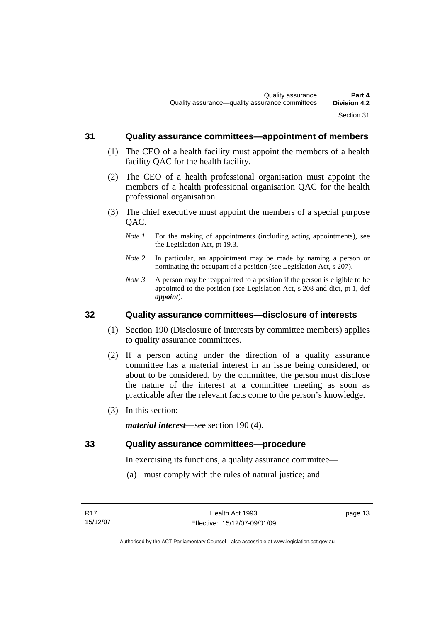#### <span id="page-20-0"></span>**31 Quality assurance committees—appointment of members**

- (1) The CEO of a health facility must appoint the members of a health facility QAC for the health facility.
- (2) The CEO of a health professional organisation must appoint the members of a health professional organisation QAC for the health professional organisation.
- (3) The chief executive must appoint the members of a special purpose QAC.
	- *Note 1* For the making of appointments (including acting appointments), see the Legislation Act, pt 19.3.
	- *Note 2* In particular, an appointment may be made by naming a person or nominating the occupant of a position (see Legislation Act, s 207).
	- *Note 3* A person may be reappointed to a position if the person is eligible to be appointed to the position (see Legislation Act, s 208 and dict, pt 1, def *appoint*).

#### **32 Quality assurance committees—disclosure of interests**

- (1) Section 190 (Disclosure of interests by committee members) applies to quality assurance committees.
- (2) If a person acting under the direction of a quality assurance committee has a material interest in an issue being considered, or about to be considered, by the committee, the person must disclose the nature of the interest at a committee meeting as soon as practicable after the relevant facts come to the person's knowledge.
- (3) In this section:

*material interest*—see section 190 (4).

#### **33 Quality assurance committees—procedure**

In exercising its functions, a quality assurance committee—

(a) must comply with the rules of natural justice; and

page 13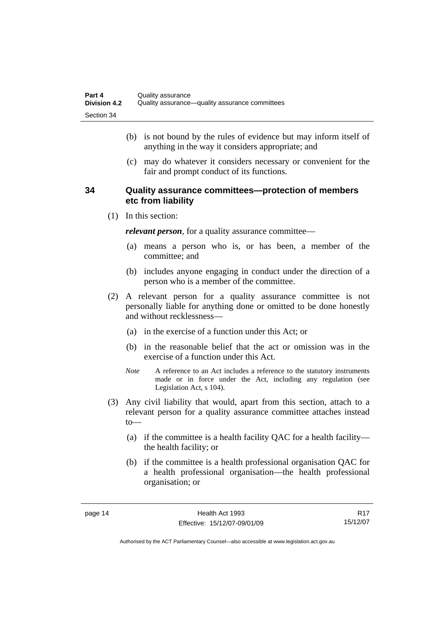- <span id="page-21-0"></span> (b) is not bound by the rules of evidence but may inform itself of anything in the way it considers appropriate; and
- (c) may do whatever it considers necessary or convenient for the fair and prompt conduct of its functions.

#### **34 Quality assurance committees—protection of members etc from liability**

(1) In this section:

*relevant person*, for a quality assurance committee—

- (a) means a person who is, or has been, a member of the committee; and
- (b) includes anyone engaging in conduct under the direction of a person who is a member of the committee.
- (2) A relevant person for a quality assurance committee is not personally liable for anything done or omitted to be done honestly and without recklessness—
	- (a) in the exercise of a function under this Act; or
	- (b) in the reasonable belief that the act or omission was in the exercise of a function under this Act.
	- *Note* A reference to an Act includes a reference to the statutory instruments made or in force under the Act, including any regulation (see Legislation Act, s 104).
- (3) Any civil liability that would, apart from this section, attach to a relevant person for a quality assurance committee attaches instead to—
	- (a) if the committee is a health facility QAC for a health facility the health facility; or
	- (b) if the committee is a health professional organisation QAC for a health professional organisation—the health professional organisation; or

R17 15/12/07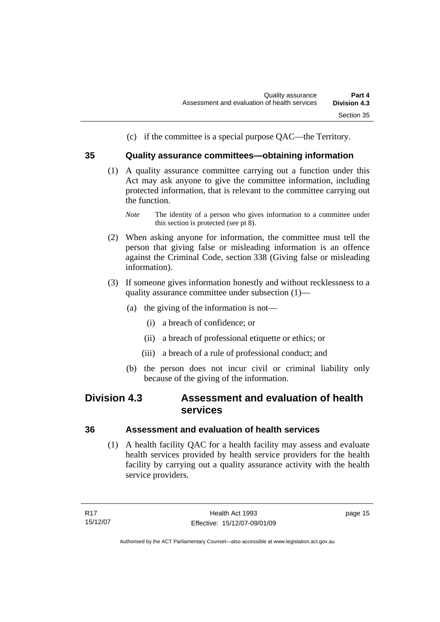(c) if the committee is a special purpose QAC—the Territory.

#### <span id="page-22-0"></span>**35 Quality assurance committees—obtaining information**

- (1) A quality assurance committee carrying out a function under this Act may ask anyone to give the committee information, including protected information, that is relevant to the committee carrying out the function.
	- *Note* The identity of a person who gives information to a committee under this section is protected (see pt 8).
- (2) When asking anyone for information, the committee must tell the person that giving false or misleading information is an offence against the Criminal Code, section 338 (Giving false or misleading information).
- (3) If someone gives information honestly and without recklessness to a quality assurance committee under subsection (1)—
	- (a) the giving of the information is not—
		- (i) a breach of confidence; or
		- (ii) a breach of professional etiquette or ethics; or
		- (iii) a breach of a rule of professional conduct; and
	- (b) the person does not incur civil or criminal liability only because of the giving of the information.

### **Division 4.3 Assessment and evaluation of health services**

#### **36 Assessment and evaluation of health services**

 (1) A health facility QAC for a health facility may assess and evaluate health services provided by health service providers for the health facility by carrying out a quality assurance activity with the health service providers.

page 15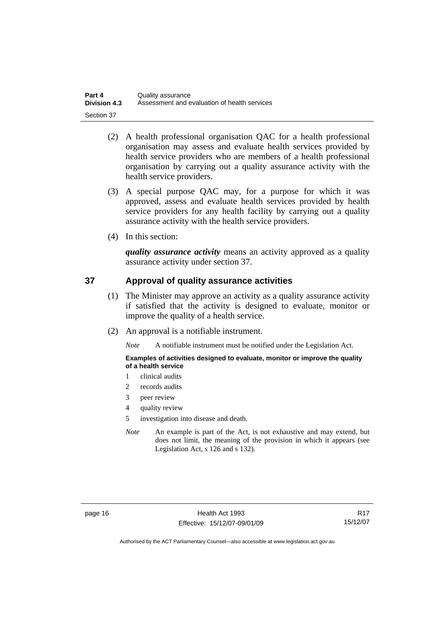<span id="page-23-0"></span>

| Part 4              | Quality assurance                            |
|---------------------|----------------------------------------------|
| <b>Division 4.3</b> | Assessment and evaluation of health services |
| Section 37          |                                              |

- (2) A health professional organisation QAC for a health professional organisation may assess and evaluate health services provided by health service providers who are members of a health professional organisation by carrying out a quality assurance activity with the health service providers.
- (3) A special purpose QAC may, for a purpose for which it was approved, assess and evaluate health services provided by health service providers for any health facility by carrying out a quality assurance activity with the health service providers.
- (4) In this section:

*quality assurance activity* means an activity approved as a quality assurance activity under section 37.

#### **37 Approval of quality assurance activities**

- (1) The Minister may approve an activity as a quality assurance activity if satisfied that the activity is designed to evaluate, monitor or improve the quality of a health service.
- (2) An approval is a notifiable instrument.

*Note* A notifiable instrument must be notified under the Legislation Act.

#### **Examples of activities designed to evaluate, monitor or improve the quality of a health service**

- 1 clinical audits
- 2 records audits
- 3 peer review
- 4 quality review
- 5 investigation into disease and death.
- *Note* An example is part of the Act, is not exhaustive and may extend, but does not limit, the meaning of the provision in which it appears (see Legislation Act, s 126 and s 132).

R17 15/12/07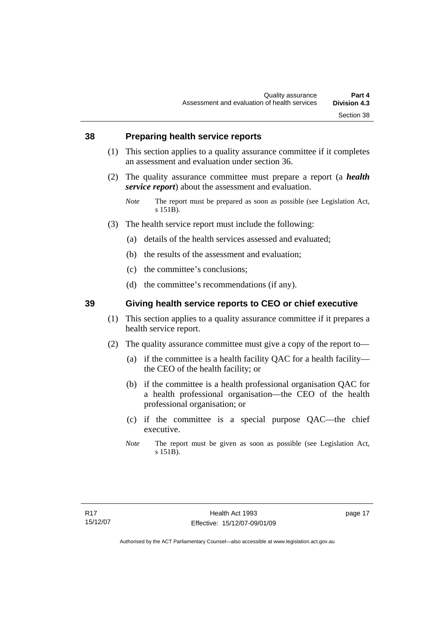#### <span id="page-24-0"></span>**38 Preparing health service reports**

- (1) This section applies to a quality assurance committee if it completes an assessment and evaluation under section 36.
- (2) The quality assurance committee must prepare a report (a *health service report*) about the assessment and evaluation.
	- *Note* The report must be prepared as soon as possible (see Legislation Act, s 151B).
- (3) The health service report must include the following:
	- (a) details of the health services assessed and evaluated;
	- (b) the results of the assessment and evaluation;
	- (c) the committee's conclusions;
	- (d) the committee's recommendations (if any).

#### **39 Giving health service reports to CEO or chief executive**

- (1) This section applies to a quality assurance committee if it prepares a health service report.
- (2) The quality assurance committee must give a copy of the report to—
	- (a) if the committee is a health facility QAC for a health facility the CEO of the health facility; or
	- (b) if the committee is a health professional organisation QAC for a health professional organisation—the CEO of the health professional organisation; or
	- (c) if the committee is a special purpose QAC—the chief executive.
	- *Note* The report must be given as soon as possible (see Legislation Act, s 151B).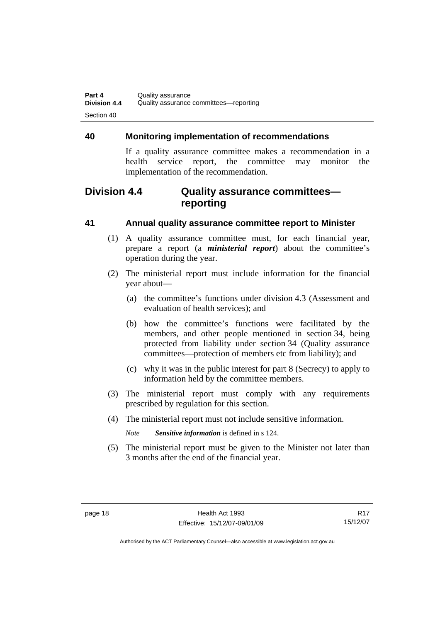#### <span id="page-25-0"></span>**40 Monitoring implementation of recommendations**

If a quality assurance committee makes a recommendation in a health service report, the committee may monitor the implementation of the recommendation.

### **Division 4.4 Quality assurance committees reporting**

#### **41 Annual quality assurance committee report to Minister**

- (1) A quality assurance committee must, for each financial year, prepare a report (a *ministerial report*) about the committee's operation during the year.
- (2) The ministerial report must include information for the financial year about—
	- (a) the committee's functions under division 4.3 (Assessment and evaluation of health services); and
	- (b) how the committee's functions were facilitated by the members, and other people mentioned in section 34, being protected from liability under section 34 (Quality assurance committees—protection of members etc from liability); and
	- (c) why it was in the public interest for part 8 (Secrecy) to apply to information held by the committee members.
- (3) The ministerial report must comply with any requirements prescribed by regulation for this section.
- (4) The ministerial report must not include sensitive information.

*Note Sensitive information* is defined in s 124.

 (5) The ministerial report must be given to the Minister not later than 3 months after the end of the financial year.

R17 15/12/07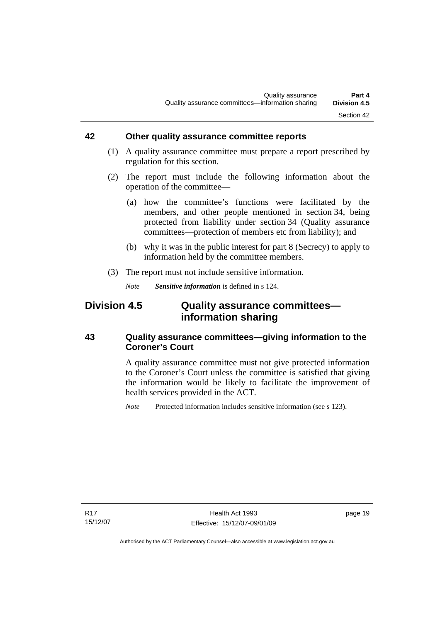#### <span id="page-26-0"></span>**42 Other quality assurance committee reports**

- (1) A quality assurance committee must prepare a report prescribed by regulation for this section.
- (2) The report must include the following information about the operation of the committee—
	- (a) how the committee's functions were facilitated by the members, and other people mentioned in section 34, being protected from liability under section 34 (Quality assurance committees—protection of members etc from liability); and
	- (b) why it was in the public interest for part 8 (Secrecy) to apply to information held by the committee members.
- (3) The report must not include sensitive information.

*Note Sensitive information* is defined in s 124.

### **Division 4.5 Quality assurance committees information sharing**

#### **43 Quality assurance committees—giving information to the Coroner's Court**

A quality assurance committee must not give protected information to the Coroner's Court unless the committee is satisfied that giving the information would be likely to facilitate the improvement of health services provided in the ACT.

*Note* Protected information includes sensitive information (see s 123).

R17 15/12/07 page 19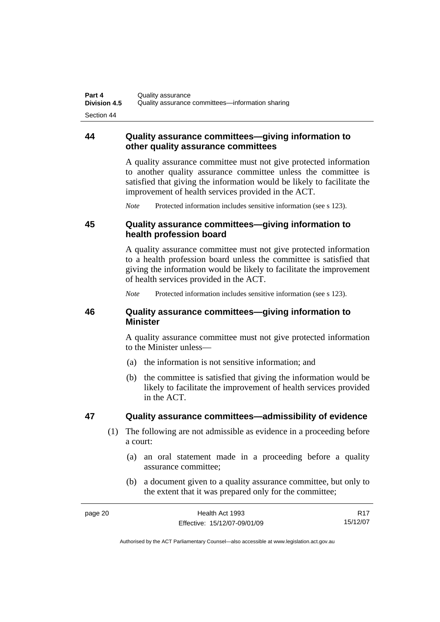#### <span id="page-27-0"></span>**44 Quality assurance committees—giving information to other quality assurance committees**

A quality assurance committee must not give protected information to another quality assurance committee unless the committee is satisfied that giving the information would be likely to facilitate the improvement of health services provided in the ACT.

*Note* Protected information includes sensitive information (see s 123).

#### **45 Quality assurance committees—giving information to health profession board**

A quality assurance committee must not give protected information to a health profession board unless the committee is satisfied that giving the information would be likely to facilitate the improvement of health services provided in the ACT.

*Note* Protected information includes sensitive information (see s 123).

#### **46 Quality assurance committees—giving information to Minister**

A quality assurance committee must not give protected information to the Minister unless—

- (a) the information is not sensitive information; and
- (b) the committee is satisfied that giving the information would be likely to facilitate the improvement of health services provided in the ACT.

#### **47 Quality assurance committees—admissibility of evidence**

- (1) The following are not admissible as evidence in a proceeding before a court:
	- (a) an oral statement made in a proceeding before a quality assurance committee;
	- (b) a document given to a quality assurance committee, but only to the extent that it was prepared only for the committee;

| page 20 | Health Act 1993              | <b>R17</b> |
|---------|------------------------------|------------|
|         | Effective: 15/12/07-09/01/09 | 15/12/07   |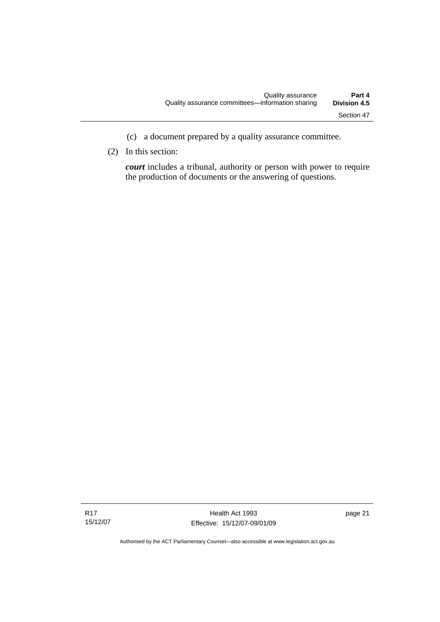- (c) a document prepared by a quality assurance committee.
- (2) In this section:

*court* includes a tribunal, authority or person with power to require the production of documents or the answering of questions.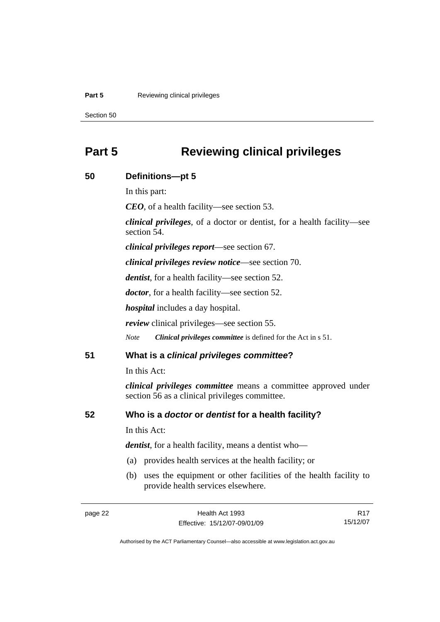#### <span id="page-29-0"></span>**Part 5 Reviewing clinical privileges**

Section 50

### **Part 5 Reviewing clinical privileges**

## page 22 Health Act 1993 Effective: 15/12/07-09/01/09 R17 15/12/07 **50 Definitions—pt 5**  In this part: *CEO*, of a health facility—see section 53. *clinical privileges*, of a doctor or dentist, for a health facility—see section 54. *clinical privileges report*—see section 67. *clinical privileges review notice*—see section 70. *dentist*, for a health facility—see section 52. *doctor*, for a health facility—see section 52. *hospital* includes a day hospital. *review* clinical privileges—see section 55. *Note Clinical privileges committee* is defined for the Act in s 51. **51 What is a** *clinical privileges committee***?**  In this Act: *clinical privileges committee* means a committee approved under section 56 as a clinical privileges committee. **52 Who is a** *doctor* **or** *dentist* **for a health facility?**  In this Act: *dentist*, for a health facility, means a dentist who— (a) provides health services at the health facility; or (b) uses the equipment or other facilities of the health facility to provide health services elsewhere.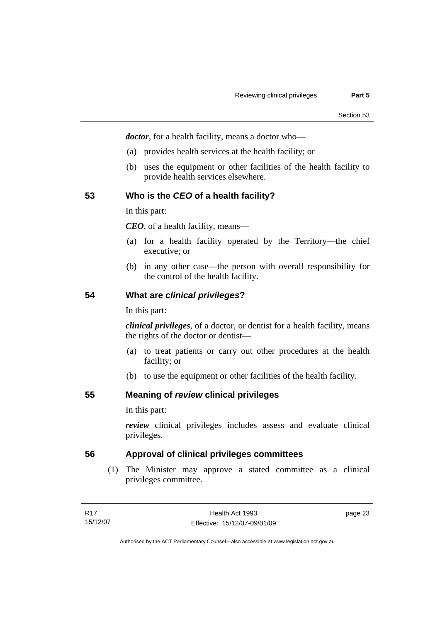<span id="page-30-0"></span>*doctor*, for a health facility, means a doctor who—

- (a) provides health services at the health facility; or
- (b) uses the equipment or other facilities of the health facility to provide health services elsewhere.

#### **53 Who is the** *CEO* **of a health facility?**

In this part:

*CEO*, of a health facility, means—

- (a) for a health facility operated by the Territory—the chief executive; or
- (b) in any other case—the person with overall responsibility for the control of the health facility.

#### **54 What are** *clinical privileges***?**

In this part:

*clinical privileges*, of a doctor, or dentist for a health facility, means the rights of the doctor or dentist—

- (a) to treat patients or carry out other procedures at the health facility; or
- (b) to use the equipment or other facilities of the health facility.

#### **55 Meaning of** *review* **clinical privileges**

In this part:

*review* clinical privileges includes assess and evaluate clinical privileges.

#### **56 Approval of clinical privileges committees**

 (1) The Minister may approve a stated committee as a clinical privileges committee.

page 23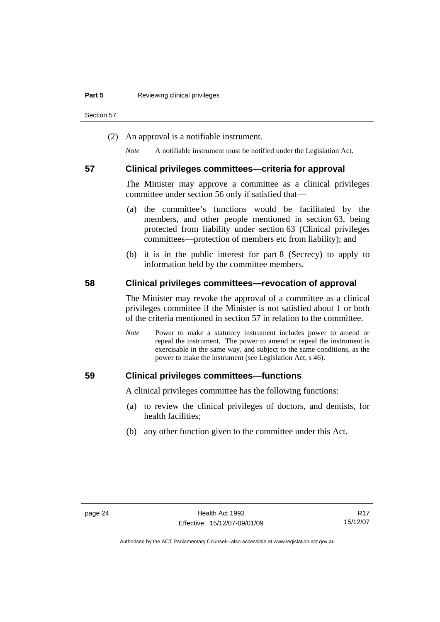<span id="page-31-0"></span>Section 57

(2) An approval is a notifiable instrument.

*Note* A notifiable instrument must be notified under the Legislation Act.

#### **57 Clinical privileges committees—criteria for approval**

The Minister may approve a committee as a clinical privileges committee under section 56 only if satisfied that—

- (a) the committee's functions would be facilitated by the members, and other people mentioned in section 63, being protected from liability under section 63 (Clinical privileges committees—protection of members etc from liability); and
- (b) it is in the public interest for part 8 (Secrecy) to apply to information held by the committee members.

#### **58 Clinical privileges committees—revocation of approval**

The Minister may revoke the approval of a committee as a clinical privileges committee if the Minister is not satisfied about 1 or both of the criteria mentioned in section 57 in relation to the committee.

*Note* Power to make a statutory instrument includes power to amend or repeal the instrument. The power to amend or repeal the instrument is exercisable in the same way, and subject to the same conditions, as the power to make the instrument (see Legislation Act, s 46).

#### **59 Clinical privileges committees—functions**

A clinical privileges committee has the following functions:

- (a) to review the clinical privileges of doctors, and dentists, for health facilities;
- (b) any other function given to the committee under this Act.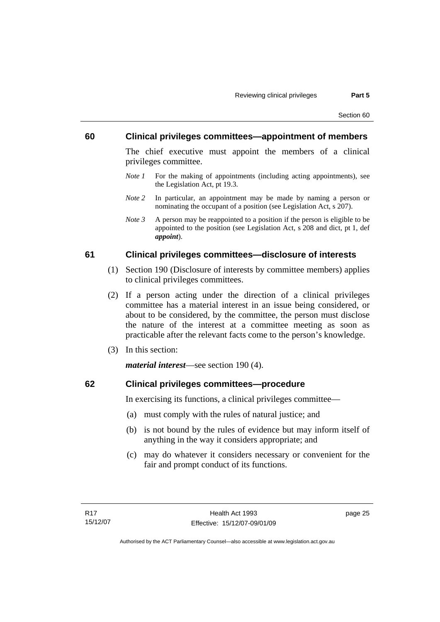#### <span id="page-32-0"></span>**60 Clinical privileges committees—appointment of members**

The chief executive must appoint the members of a clinical privileges committee.

- *Note 1* For the making of appointments (including acting appointments), see the Legislation Act, pt 19.3.
- *Note 2* In particular, an appointment may be made by naming a person or nominating the occupant of a position (see Legislation Act, s 207).
- *Note 3* A person may be reappointed to a position if the person is eligible to be appointed to the position (see Legislation Act, s 208 and dict, pt 1, def *appoint*).

#### **61 Clinical privileges committees—disclosure of interests**

- (1) Section 190 (Disclosure of interests by committee members) applies to clinical privileges committees.
- (2) If a person acting under the direction of a clinical privileges committee has a material interest in an issue being considered, or about to be considered, by the committee, the person must disclose the nature of the interest at a committee meeting as soon as practicable after the relevant facts come to the person's knowledge.
- (3) In this section:

*material interest*—see section 190 (4).

#### **62 Clinical privileges committees—procedure**

In exercising its functions, a clinical privileges committee—

- (a) must comply with the rules of natural justice; and
- (b) is not bound by the rules of evidence but may inform itself of anything in the way it considers appropriate; and
- (c) may do whatever it considers necessary or convenient for the fair and prompt conduct of its functions.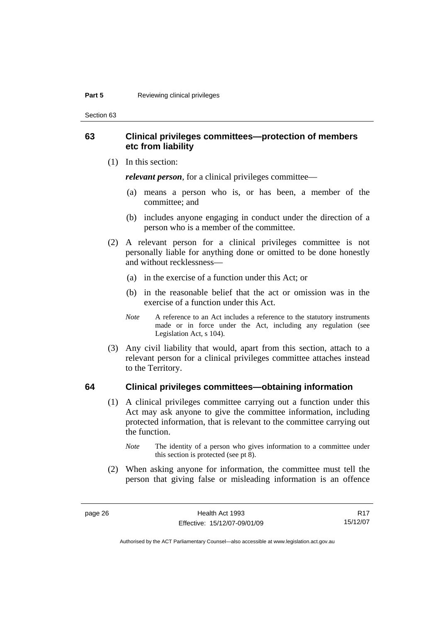<span id="page-33-0"></span>Section 63

#### **63 Clinical privileges committees—protection of members etc from liability**

(1) In this section:

*relevant person*, for a clinical privileges committee—

- (a) means a person who is, or has been, a member of the committee; and
- (b) includes anyone engaging in conduct under the direction of a person who is a member of the committee.
- (2) A relevant person for a clinical privileges committee is not personally liable for anything done or omitted to be done honestly and without recklessness—
	- (a) in the exercise of a function under this Act; or
	- (b) in the reasonable belief that the act or omission was in the exercise of a function under this Act.
	- *Note* A reference to an Act includes a reference to the statutory instruments made or in force under the Act, including any regulation (see Legislation Act, s 104).
- (3) Any civil liability that would, apart from this section, attach to a relevant person for a clinical privileges committee attaches instead to the Territory.

#### **64 Clinical privileges committees—obtaining information**

- (1) A clinical privileges committee carrying out a function under this Act may ask anyone to give the committee information, including protected information, that is relevant to the committee carrying out the function.
	- *Note* The identity of a person who gives information to a committee under this section is protected (see pt 8).
- (2) When asking anyone for information, the committee must tell the person that giving false or misleading information is an offence

R17 15/12/07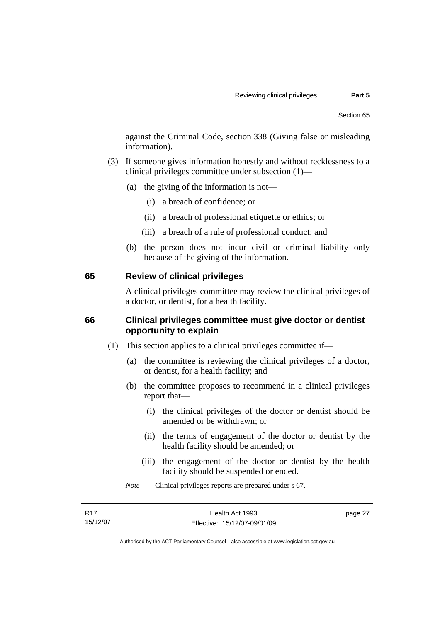<span id="page-34-0"></span>against the Criminal Code, section 338 (Giving false or misleading information).

- (3) If someone gives information honestly and without recklessness to a clinical privileges committee under subsection (1)—
	- (a) the giving of the information is not—
		- (i) a breach of confidence; or
		- (ii) a breach of professional etiquette or ethics; or
		- (iii) a breach of a rule of professional conduct; and
	- (b) the person does not incur civil or criminal liability only because of the giving of the information.

#### **65 Review of clinical privileges**

A clinical privileges committee may review the clinical privileges of a doctor, or dentist, for a health facility.

#### **66 Clinical privileges committee must give doctor or dentist opportunity to explain**

- (1) This section applies to a clinical privileges committee if—
	- (a) the committee is reviewing the clinical privileges of a doctor, or dentist, for a health facility; and
	- (b) the committee proposes to recommend in a clinical privileges report that—
		- (i) the clinical privileges of the doctor or dentist should be amended or be withdrawn; or
		- (ii) the terms of engagement of the doctor or dentist by the health facility should be amended; or
		- (iii) the engagement of the doctor or dentist by the health facility should be suspended or ended.
	- *Note* Clinical privileges reports are prepared under s 67.

| R17      | Health Act 1993              | page 27 |
|----------|------------------------------|---------|
| 15/12/07 | Effective: 15/12/07-09/01/09 |         |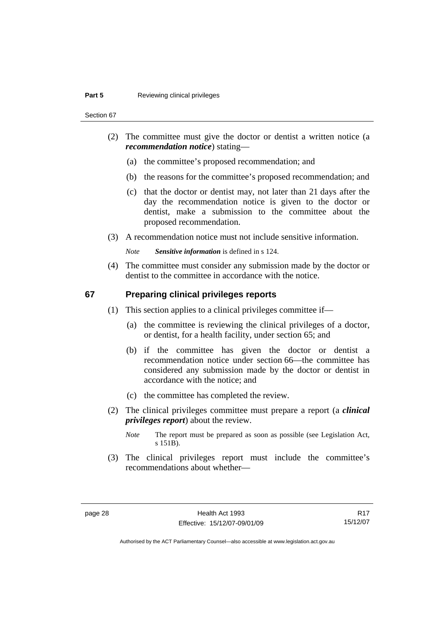<span id="page-35-0"></span>Section 67

- (2) The committee must give the doctor or dentist a written notice (a *recommendation notice*) stating—
	- (a) the committee's proposed recommendation; and
	- (b) the reasons for the committee's proposed recommendation; and
	- (c) that the doctor or dentist may, not later than 21 days after the day the recommendation notice is given to the doctor or dentist, make a submission to the committee about the proposed recommendation.
- (3) A recommendation notice must not include sensitive information.

*Note Sensitive information* is defined in s 124.

 (4) The committee must consider any submission made by the doctor or dentist to the committee in accordance with the notice.

#### **67 Preparing clinical privileges reports**

- (1) This section applies to a clinical privileges committee if—
	- (a) the committee is reviewing the clinical privileges of a doctor, or dentist, for a health facility, under section 65; and
	- (b) if the committee has given the doctor or dentist a recommendation notice under section 66—the committee has considered any submission made by the doctor or dentist in accordance with the notice; and
	- (c) the committee has completed the review.
- (2) The clinical privileges committee must prepare a report (a *clinical privileges report*) about the review.
	- *Note* The report must be prepared as soon as possible (see Legislation Act, s 151B).
- (3) The clinical privileges report must include the committee's recommendations about whether—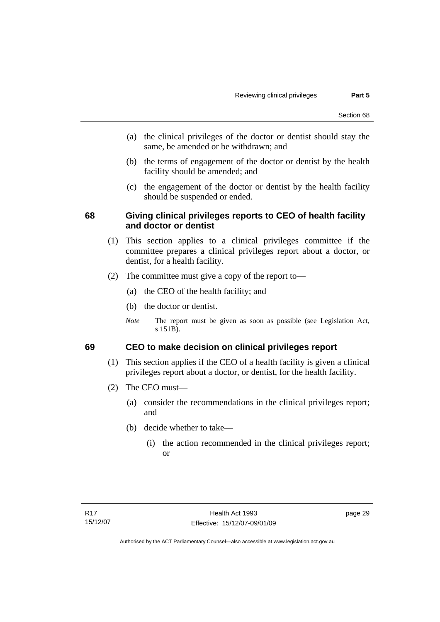- (a) the clinical privileges of the doctor or dentist should stay the same, be amended or be withdrawn; and
- (b) the terms of engagement of the doctor or dentist by the health facility should be amended; and
- (c) the engagement of the doctor or dentist by the health facility should be suspended or ended.

# **68 Giving clinical privileges reports to CEO of health facility and doctor or dentist**

- (1) This section applies to a clinical privileges committee if the committee prepares a clinical privileges report about a doctor, or dentist, for a health facility.
- (2) The committee must give a copy of the report to—
	- (a) the CEO of the health facility; and
	- (b) the doctor or dentist.
	- *Note* The report must be given as soon as possible (see Legislation Act, s 151B).

# **69 CEO to make decision on clinical privileges report**

- (1) This section applies if the CEO of a health facility is given a clinical privileges report about a doctor, or dentist, for the health facility.
- (2) The CEO must—
	- (a) consider the recommendations in the clinical privileges report; and
	- (b) decide whether to take—
		- (i) the action recommended in the clinical privileges report; or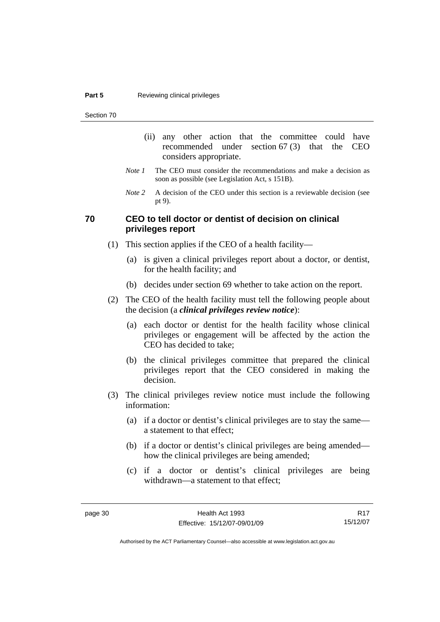Section 70

- (ii) any other action that the committee could have recommended under section 67 (3) that the CEO considers appropriate.
- *Note 1* The CEO must consider the recommendations and make a decision as soon as possible (see Legislation Act, s 151B).
- *Note* 2 A decision of the CEO under this section is a reviewable decision (see pt 9).

# **70 CEO to tell doctor or dentist of decision on clinical privileges report**

- (1) This section applies if the CEO of a health facility—
	- (a) is given a clinical privileges report about a doctor, or dentist, for the health facility; and
	- (b) decides under section 69 whether to take action on the report.
- (2) The CEO of the health facility must tell the following people about the decision (a *clinical privileges review notice*):
	- (a) each doctor or dentist for the health facility whose clinical privileges or engagement will be affected by the action the CEO has decided to take;
	- (b) the clinical privileges committee that prepared the clinical privileges report that the CEO considered in making the decision.
- (3) The clinical privileges review notice must include the following information:
	- (a) if a doctor or dentist's clinical privileges are to stay the same a statement to that effect;
	- (b) if a doctor or dentist's clinical privileges are being amended how the clinical privileges are being amended;
	- (c) if a doctor or dentist's clinical privileges are being withdrawn—a statement to that effect;

R17 15/12/07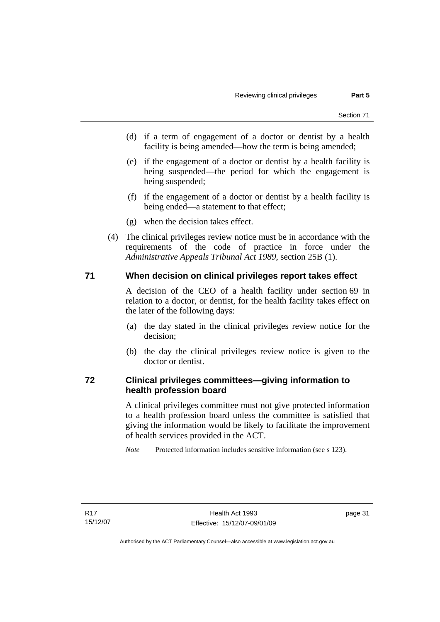- (d) if a term of engagement of a doctor or dentist by a health facility is being amended—how the term is being amended;
- (e) if the engagement of a doctor or dentist by a health facility is being suspended—the period for which the engagement is being suspended;
- (f) if the engagement of a doctor or dentist by a health facility is being ended—a statement to that effect;
- (g) when the decision takes effect.
- (4) The clinical privileges review notice must be in accordance with the requirements of the code of practice in force under the *Administrative Appeals Tribunal Act 1989*, section 25B (1).

# **71 When decision on clinical privileges report takes effect**

A decision of the CEO of a health facility under section 69 in relation to a doctor, or dentist, for the health facility takes effect on the later of the following days:

- (a) the day stated in the clinical privileges review notice for the decision;
- (b) the day the clinical privileges review notice is given to the doctor or dentist.

# **72 Clinical privileges committees—giving information to health profession board**

A clinical privileges committee must not give protected information to a health profession board unless the committee is satisfied that giving the information would be likely to facilitate the improvement of health services provided in the ACT.

*Note* Protected information includes sensitive information (see s 123).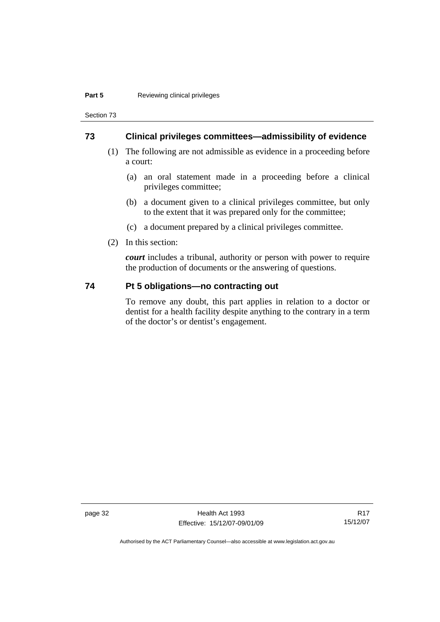Section 73

## **73 Clinical privileges committees—admissibility of evidence**

- (1) The following are not admissible as evidence in a proceeding before a court:
	- (a) an oral statement made in a proceeding before a clinical privileges committee;
	- (b) a document given to a clinical privileges committee, but only to the extent that it was prepared only for the committee;
	- (c) a document prepared by a clinical privileges committee.
- (2) In this section:

*court* includes a tribunal, authority or person with power to require the production of documents or the answering of questions.

# **74 Pt 5 obligations—no contracting out**

To remove any doubt, this part applies in relation to a doctor or dentist for a health facility despite anything to the contrary in a term of the doctor's or dentist's engagement.

page 32 Health Act 1993 Effective: 15/12/07-09/01/09

R17 15/12/07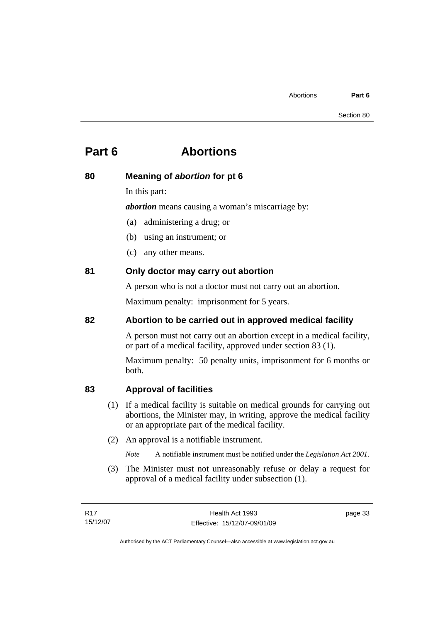# **Part 6 Abortions**

# **80 Meaning of** *abortion* **for pt 6**

In this part:

*abortion* means causing a woman's miscarriage by:

- (a) administering a drug; or
- (b) using an instrument; or
- (c) any other means.

# **81 Only doctor may carry out abortion**

A person who is not a doctor must not carry out an abortion.

Maximum penalty: imprisonment for 5 years.

# **82 Abortion to be carried out in approved medical facility**

A person must not carry out an abortion except in a medical facility, or part of a medical facility, approved under section 83 (1).

Maximum penalty: 50 penalty units, imprisonment for 6 months or both.

# **83 Approval of facilities**

- (1) If a medical facility is suitable on medical grounds for carrying out abortions, the Minister may, in writing, approve the medical facility or an appropriate part of the medical facility.
- (2) An approval is a notifiable instrument.
	- *Note* A notifiable instrument must be notified under the *Legislation Act 2001*.
- (3) The Minister must not unreasonably refuse or delay a request for approval of a medical facility under subsection (1).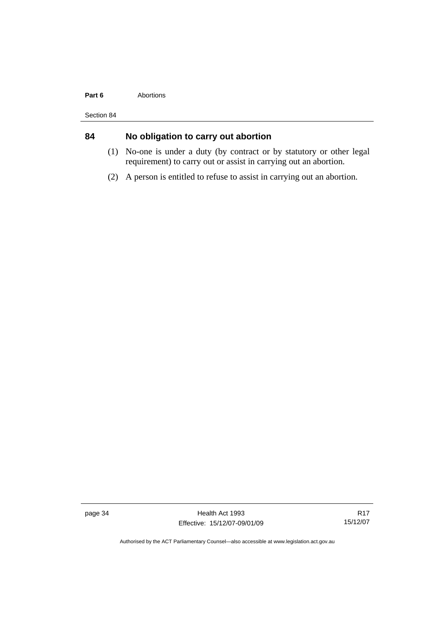#### Part 6 **Abortions**

Section 84

# **84 No obligation to carry out abortion**

- (1) No-one is under a duty (by contract or by statutory or other legal requirement) to carry out or assist in carrying out an abortion.
- (2) A person is entitled to refuse to assist in carrying out an abortion.

page 34 Health Act 1993 Effective: 15/12/07-09/01/09

R17 15/12/07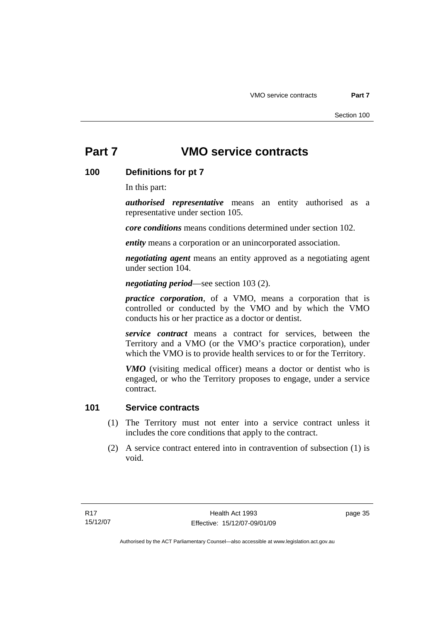# **Part 7 VMO service contracts**

# **100 Definitions for pt 7**

In this part:

*authorised representative* means an entity authorised as a representative under section 105.

*core conditions* means conditions determined under section 102.

*entity* means a corporation or an unincorporated association.

*negotiating agent* means an entity approved as a negotiating agent under section 104.

*negotiating period*—see section 103 (2).

*practice corporation*, of a VMO, means a corporation that is controlled or conducted by the VMO and by which the VMO conducts his or her practice as a doctor or dentist.

*service contract* means a contract for services, between the Territory and a VMO (or the VMO's practice corporation), under which the VMO is to provide health services to or for the Territory.

*VMO* (visiting medical officer) means a doctor or dentist who is engaged, or who the Territory proposes to engage, under a service contract.

# **101 Service contracts**

- (1) The Territory must not enter into a service contract unless it includes the core conditions that apply to the contract.
- (2) A service contract entered into in contravention of subsection (1) is void.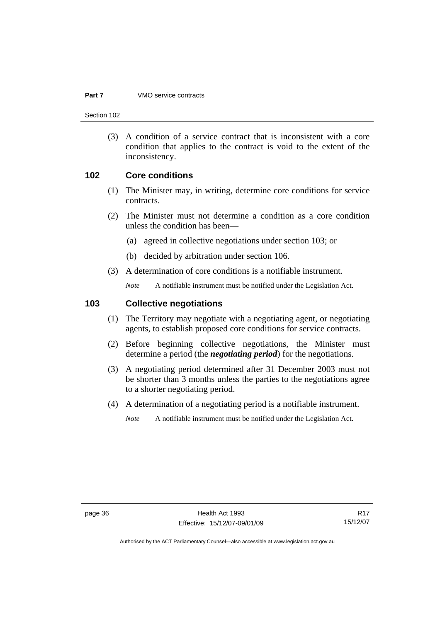#### **Part 7** VMO service contracts

Section 102

 (3) A condition of a service contract that is inconsistent with a core condition that applies to the contract is void to the extent of the inconsistency.

#### **102 Core conditions**

- (1) The Minister may, in writing, determine core conditions for service contracts.
- (2) The Minister must not determine a condition as a core condition unless the condition has been—
	- (a) agreed in collective negotiations under section 103; or
	- (b) decided by arbitration under section 106.
- (3) A determination of core conditions is a notifiable instrument.

*Note* A notifiable instrument must be notified under the Legislation Act.

# **103 Collective negotiations**

- (1) The Territory may negotiate with a negotiating agent, or negotiating agents, to establish proposed core conditions for service contracts.
- (2) Before beginning collective negotiations, the Minister must determine a period (the *negotiating period*) for the negotiations.
- (3) A negotiating period determined after 31 December 2003 must not be shorter than 3 months unless the parties to the negotiations agree to a shorter negotiating period.
- (4) A determination of a negotiating period is a notifiable instrument.

*Note* A notifiable instrument must be notified under the Legislation Act.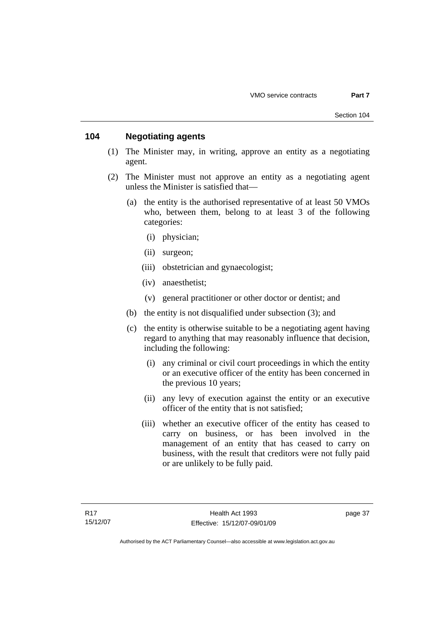# **104 Negotiating agents**

- (1) The Minister may, in writing, approve an entity as a negotiating agent.
- (2) The Minister must not approve an entity as a negotiating agent unless the Minister is satisfied that—
	- (a) the entity is the authorised representative of at least 50 VMOs who, between them, belong to at least 3 of the following categories:
		- (i) physician;
		- (ii) surgeon;
		- (iii) obstetrician and gynaecologist;
		- (iv) anaesthetist;
		- (v) general practitioner or other doctor or dentist; and
	- (b) the entity is not disqualified under subsection (3); and
	- (c) the entity is otherwise suitable to be a negotiating agent having regard to anything that may reasonably influence that decision, including the following:
		- (i) any criminal or civil court proceedings in which the entity or an executive officer of the entity has been concerned in the previous 10 years;
		- (ii) any levy of execution against the entity or an executive officer of the entity that is not satisfied;
		- (iii) whether an executive officer of the entity has ceased to carry on business, or has been involved in the management of an entity that has ceased to carry on business, with the result that creditors were not fully paid or are unlikely to be fully paid.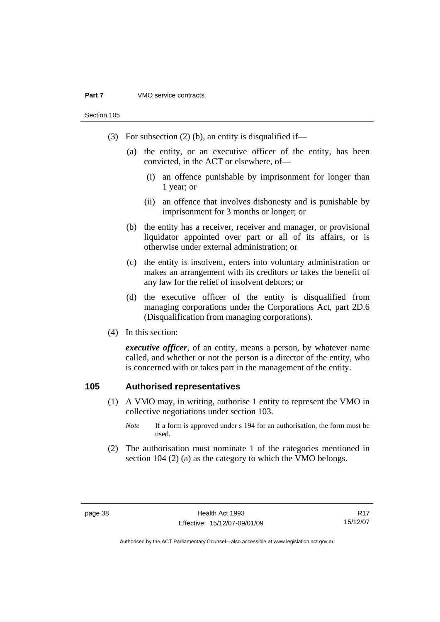Section 105

- (3) For subsection (2) (b), an entity is disqualified if—
	- (a) the entity, or an executive officer of the entity, has been convicted, in the ACT or elsewhere, of—
		- (i) an offence punishable by imprisonment for longer than 1 year; or
		- (ii) an offence that involves dishonesty and is punishable by imprisonment for 3 months or longer; or
	- (b) the entity has a receiver, receiver and manager, or provisional liquidator appointed over part or all of its affairs, or is otherwise under external administration; or
	- (c) the entity is insolvent, enters into voluntary administration or makes an arrangement with its creditors or takes the benefit of any law for the relief of insolvent debtors; or
	- (d) the executive officer of the entity is disqualified from managing corporations under the Corporations Act, part 2D.6 (Disqualification from managing corporations).
- (4) In this section:

*executive officer*, of an entity, means a person, by whatever name called, and whether or not the person is a director of the entity, who is concerned with or takes part in the management of the entity.

## **105 Authorised representatives**

- (1) A VMO may, in writing, authorise 1 entity to represent the VMO in collective negotiations under section 103.
	- *Note* If a form is approved under s 194 for an authorisation, the form must be used.
- (2) The authorisation must nominate 1 of the categories mentioned in section 104 (2) (a) as the category to which the VMO belongs.

R17 15/12/07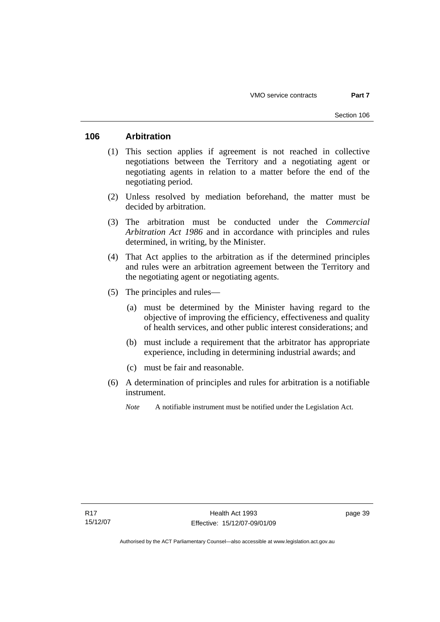# **106 Arbitration**

- (1) This section applies if agreement is not reached in collective negotiations between the Territory and a negotiating agent or negotiating agents in relation to a matter before the end of the negotiating period.
- (2) Unless resolved by mediation beforehand, the matter must be decided by arbitration.
- (3) The arbitration must be conducted under the *Commercial Arbitration Act 1986* and in accordance with principles and rules determined, in writing, by the Minister.
- (4) That Act applies to the arbitration as if the determined principles and rules were an arbitration agreement between the Territory and the negotiating agent or negotiating agents.
- (5) The principles and rules—
	- (a) must be determined by the Minister having regard to the objective of improving the efficiency, effectiveness and quality of health services, and other public interest considerations; and
	- (b) must include a requirement that the arbitrator has appropriate experience, including in determining industrial awards; and
	- (c) must be fair and reasonable.
- (6) A determination of principles and rules for arbitration is a notifiable instrument.
	- *Note* A notifiable instrument must be notified under the Legislation Act.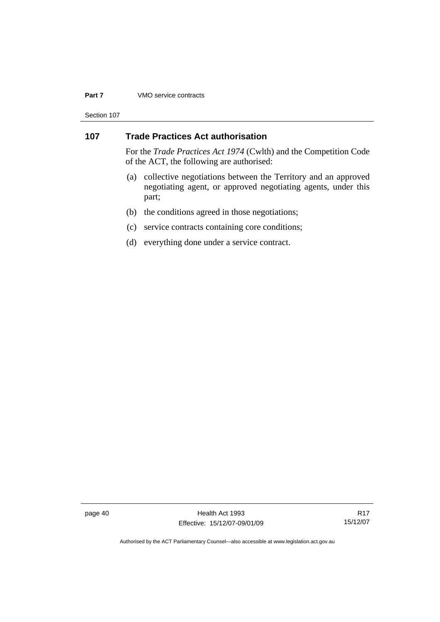#### **Part 7** VMO service contracts

Section 107

# **107 Trade Practices Act authorisation**

For the *Trade Practices Act 1974* (Cwlth) and the Competition Code of the ACT, the following are authorised:

- (a) collective negotiations between the Territory and an approved negotiating agent, or approved negotiating agents, under this part;
- (b) the conditions agreed in those negotiations;
- (c) service contracts containing core conditions;
- (d) everything done under a service contract.

page 40 Health Act 1993 Effective: 15/12/07-09/01/09

R17 15/12/07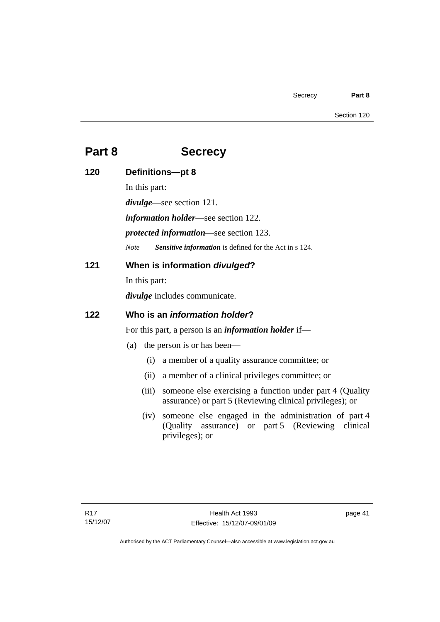# **Part 8 Secrecy**

| 120 | Definitions-pt 8                                                                                                                     |  |  |  |
|-----|--------------------------------------------------------------------------------------------------------------------------------------|--|--|--|
|     | In this part:                                                                                                                        |  |  |  |
|     | $divulge$ —see section 121.                                                                                                          |  |  |  |
|     | <i>information holder</i> —see section 122.                                                                                          |  |  |  |
|     | <i>protected information—see section 123.</i>                                                                                        |  |  |  |
|     | Sensitive information is defined for the Act in s 124.<br><b>Note</b>                                                                |  |  |  |
| 121 | When is information divulged?                                                                                                        |  |  |  |
|     | In this part:                                                                                                                        |  |  |  |
|     | <i>divulge</i> includes communicate.                                                                                                 |  |  |  |
| 122 | Who is an <i>information holder</i> ?                                                                                                |  |  |  |
|     | For this part, a person is an <i>information holder</i> if—                                                                          |  |  |  |
|     | the person is or has been—<br>(a)                                                                                                    |  |  |  |
|     | a member of a quality assurance committee; or<br>(i)                                                                                 |  |  |  |
|     | a member of a clinical privileges committee; or<br>(ii)                                                                              |  |  |  |
|     | someone else exercising a function under part 4 (Quality<br>(iii)<br>assurance) or part 5 (Reviewing clinical privileges); or        |  |  |  |
|     | someone else engaged in the administration of part 4<br>(iv)<br>(Quality assurance) or part 5 (Reviewing clinical<br>privileges); or |  |  |  |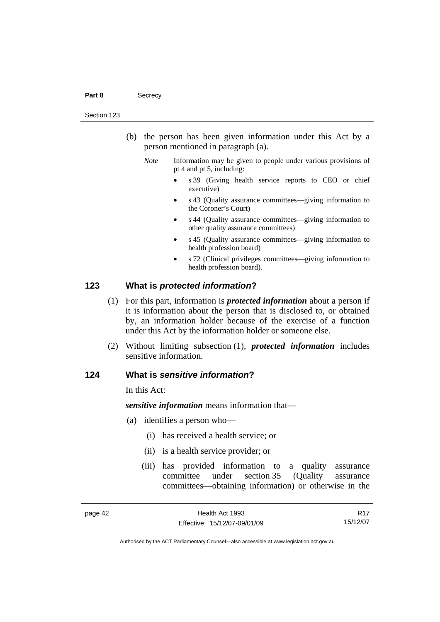#### Part 8 **Secrecy**

#### Section 123

- (b) the person has been given information under this Act by a person mentioned in paragraph (a).
	- *Note* Information may be given to people under various provisions of pt 4 and pt 5, including:
		- s 39 (Giving health service reports to CEO or chief executive)
		- s 43 (Quality assurance committees—giving information to the Coroner's Court)
		- s 44 (Quality assurance committees—giving information to other quality assurance committees)
		- s 45 (Quality assurance committees—giving information to health profession board)
		- s 72 (Clinical privileges committees—giving information to health profession board).

#### **123 What is** *protected information***?**

- (1) For this part, information is *protected information* about a person if it is information about the person that is disclosed to, or obtained by, an information holder because of the exercise of a function under this Act by the information holder or someone else.
- (2) Without limiting subsection (1), *protected information* includes sensitive information.

## **124 What is** *sensitive information***?**

In this Act:

*sensitive information* means information that—

- (a) identifies a person who—
	- (i) has received a health service; or
	- (ii) is a health service provider; or
	- (iii) has provided information to a quality assurance committee under section 35 (Quality assurance committees—obtaining information) or otherwise in the

R17 15/12/07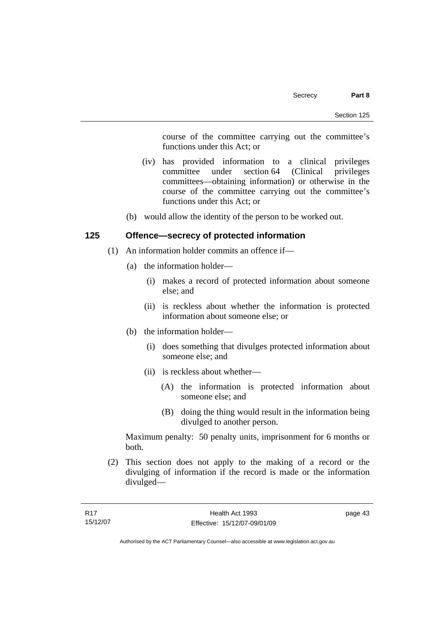course of the committee carrying out the committee's functions under this Act; or

- (iv) has provided information to a clinical privileges committee under section 64 (Clinical privileges committees—obtaining information) or otherwise in the course of the committee carrying out the committee's functions under this Act; or
- (b) would allow the identity of the person to be worked out.

# **125 Offence—secrecy of protected information**

- (1) An information holder commits an offence if—
	- (a) the information holder—
		- (i) makes a record of protected information about someone else; and
		- (ii) is reckless about whether the information is protected information about someone else; or
	- (b) the information holder—
		- (i) does something that divulges protected information about someone else; and
		- (ii) is reckless about whether—
			- (A) the information is protected information about someone else; and
			- (B) doing the thing would result in the information being divulged to another person.

Maximum penalty: 50 penalty units, imprisonment for 6 months or both.

 (2) This section does not apply to the making of a record or the divulging of information if the record is made or the information divulged—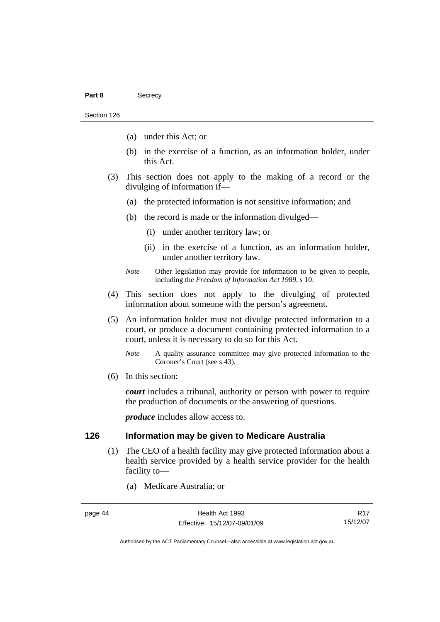- (a) under this Act; or
- (b) in the exercise of a function, as an information holder, under this Act.
- (3) This section does not apply to the making of a record or the divulging of information if—
	- (a) the protected information is not sensitive information; and
	- (b) the record is made or the information divulged—
		- (i) under another territory law; or
		- (ii) in the exercise of a function, as an information holder, under another territory law.
	- *Note* Other legislation may provide for information to be given to people, including the *Freedom of Information Act 1989*, s 10.
- (4) This section does not apply to the divulging of protected information about someone with the person's agreement.
- (5) An information holder must not divulge protected information to a court, or produce a document containing protected information to a court, unless it is necessary to do so for this Act.
	- *Note* A quality assurance committee may give protected information to the Coroner's Court (see s 43).
- (6) In this section:

*court* includes a tribunal, authority or person with power to require the production of documents or the answering of questions.

*produce* includes allow access to.

# **126 Information may be given to Medicare Australia**

- (1) The CEO of a health facility may give protected information about a health service provided by a health service provider for the health facility to—
	- (a) Medicare Australia; or

R17 15/12/07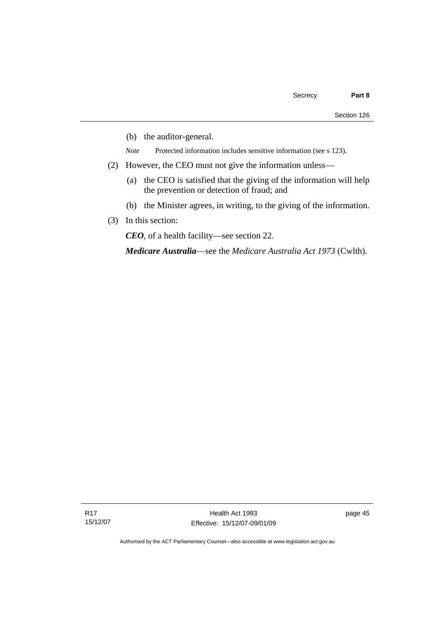- (b) the auditor-general.
- *Note* Protected information includes sensitive information (see s 123).
- (2) However, the CEO must not give the information unless—
	- (a) the CEO is satisfied that the giving of the information will help the prevention or detection of fraud; and
	- (b) the Minister agrees, in writing, to the giving of the information.
- (3) In this section:

*CEO*, of a health facility—see section 22.

*Medicare Australia*—see the *Medicare Australia Act 1973* (Cwlth).

page 45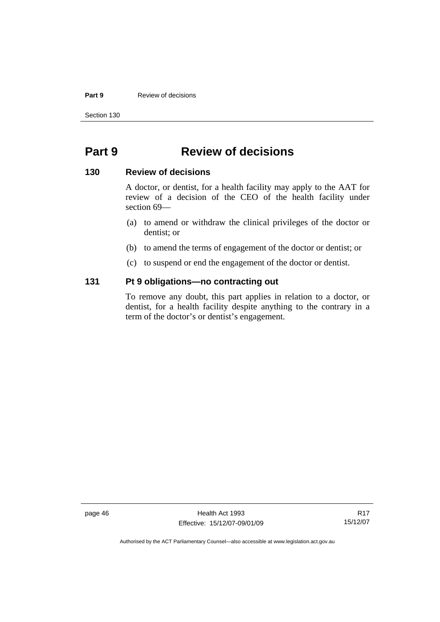#### **Part 9 Review of decisions**

Section 130

# **Part 9 Review of decisions**

#### **130 Review of decisions**

A doctor, or dentist, for a health facility may apply to the AAT for review of a decision of the CEO of the health facility under section 69—

- (a) to amend or withdraw the clinical privileges of the doctor or dentist; or
- (b) to amend the terms of engagement of the doctor or dentist; or
- (c) to suspend or end the engagement of the doctor or dentist.

# **131 Pt 9 obligations—no contracting out**

To remove any doubt, this part applies in relation to a doctor, or dentist, for a health facility despite anything to the contrary in a term of the doctor's or dentist's engagement.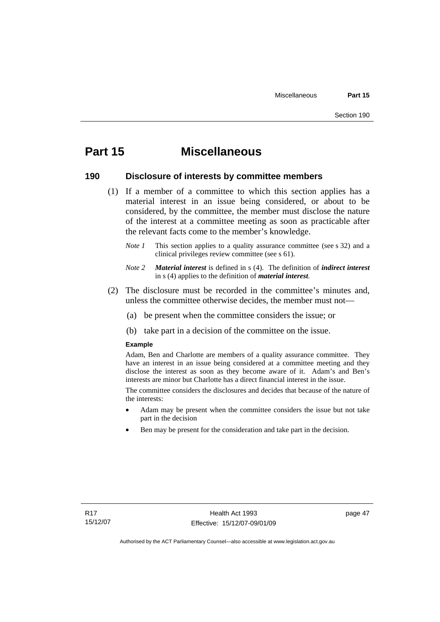# **Part 15 Miscellaneous**

#### **190 Disclosure of interests by committee members**

- (1) If a member of a committee to which this section applies has a material interest in an issue being considered, or about to be considered, by the committee, the member must disclose the nature of the interest at a committee meeting as soon as practicable after the relevant facts come to the member's knowledge.
	- *Note 1* This section applies to a quality assurance committee (see s 32) and a clinical privileges review committee (see s 61).
	- *Note 2 Material interest* is defined in s (4). The definition of *indirect interest* in s (4) applies to the definition of *material interest*.
- (2) The disclosure must be recorded in the committee's minutes and, unless the committee otherwise decides, the member must not—
	- (a) be present when the committee considers the issue; or
	- (b) take part in a decision of the committee on the issue.

#### **Example**

Adam, Ben and Charlotte are members of a quality assurance committee. They have an interest in an issue being considered at a committee meeting and they disclose the interest as soon as they become aware of it. Adam's and Ben's interests are minor but Charlotte has a direct financial interest in the issue.

The committee considers the disclosures and decides that because of the nature of the interests:

- Adam may be present when the committee considers the issue but not take part in the decision
- Ben may be present for the consideration and take part in the decision.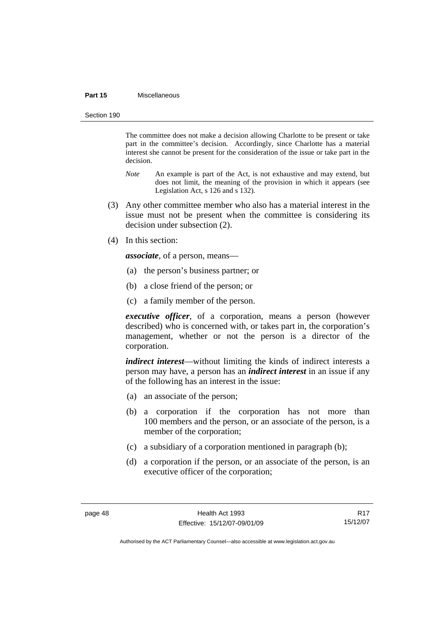#### **Part 15** Miscellaneous

Section 190

The committee does not make a decision allowing Charlotte to be present or take part in the committee's decision. Accordingly, since Charlotte has a material interest she cannot be present for the consideration of the issue or take part in the decision.

- *Note* An example is part of the Act, is not exhaustive and may extend, but does not limit, the meaning of the provision in which it appears (see Legislation Act, s 126 and s 132).
- (3) Any other committee member who also has a material interest in the issue must not be present when the committee is considering its decision under subsection (2).
- (4) In this section:

*associate*, of a person, means—

- (a) the person's business partner; or
- (b) a close friend of the person; or
- (c) a family member of the person.

*executive officer*, of a corporation, means a person (however described) who is concerned with, or takes part in, the corporation's management, whether or not the person is a director of the corporation.

*indirect interest*—without limiting the kinds of indirect interests a person may have, a person has an *indirect interest* in an issue if any of the following has an interest in the issue:

- (a) an associate of the person;
- (b) a corporation if the corporation has not more than 100 members and the person, or an associate of the person, is a member of the corporation;
- (c) a subsidiary of a corporation mentioned in paragraph (b);
- (d) a corporation if the person, or an associate of the person, is an executive officer of the corporation;

R17 15/12/07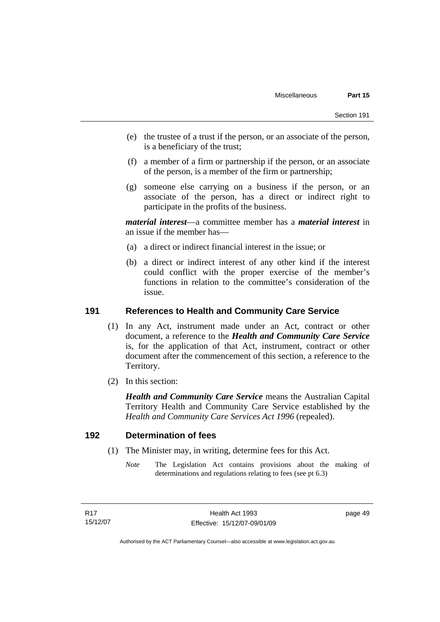- (e) the trustee of a trust if the person, or an associate of the person, is a beneficiary of the trust;
- (f) a member of a firm or partnership if the person, or an associate of the person, is a member of the firm or partnership;
- (g) someone else carrying on a business if the person, or an associate of the person, has a direct or indirect right to participate in the profits of the business.

*material interest*—a committee member has a *material interest* in an issue if the member has—

- (a) a direct or indirect financial interest in the issue; or
- (b) a direct or indirect interest of any other kind if the interest could conflict with the proper exercise of the member's functions in relation to the committee's consideration of the issue.

## **191 References to Health and Community Care Service**

- (1) In any Act, instrument made under an Act, contract or other document, a reference to the *Health and Community Care Service* is, for the application of that Act, instrument, contract or other document after the commencement of this section, a reference to the Territory.
- (2) In this section:

*Health and Community Care Service* means the Australian Capital Territory Health and Community Care Service established by the *Health and Community Care Services Act 1996* (repealed).

#### **192 Determination of fees**

- (1) The Minister may, in writing, determine fees for this Act.
	- *Note* The Legislation Act contains provisions about the making of determinations and regulations relating to fees (see pt 6.3)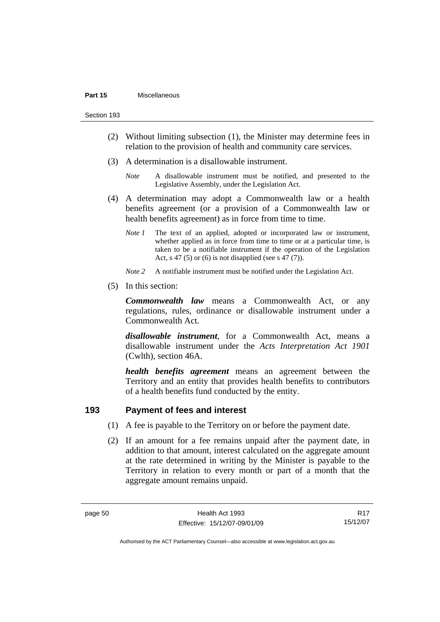- (2) Without limiting subsection (1), the Minister may determine fees in relation to the provision of health and community care services.
- (3) A determination is a disallowable instrument.
	- *Note* A disallowable instrument must be notified, and presented to the Legislative Assembly, under the Legislation Act.
- (4) A determination may adopt a Commonwealth law or a health benefits agreement (or a provision of a Commonwealth law or health benefits agreement) as in force from time to time.
	- *Note 1* The text of an applied, adopted or incorporated law or instrument, whether applied as in force from time to time or at a particular time, is taken to be a notifiable instrument if the operation of the Legislation Act, s 47 (5) or (6) is not disapplied (see s 47 (7)).
	- *Note 2* A notifiable instrument must be notified under the Legislation Act.
- (5) In this section:

*Commonwealth law* means a Commonwealth Act, or any regulations, rules, ordinance or disallowable instrument under a Commonwealth Act.

*disallowable instrument*, for a Commonwealth Act, means a disallowable instrument under the *Acts Interpretation Act 1901* (Cwlth), section 46A.

*health benefits agreement* means an agreement between the Territory and an entity that provides health benefits to contributors of a health benefits fund conducted by the entity.

# **193 Payment of fees and interest**

- (1) A fee is payable to the Territory on or before the payment date.
- (2) If an amount for a fee remains unpaid after the payment date, in addition to that amount, interest calculated on the aggregate amount at the rate determined in writing by the Minister is payable to the Territory in relation to every month or part of a month that the aggregate amount remains unpaid.

R17 15/12/07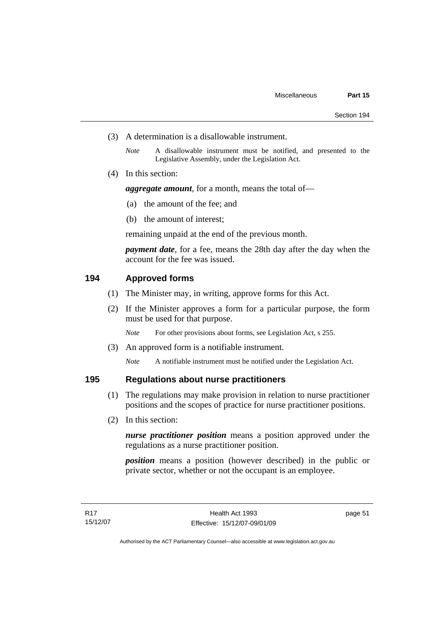- (3) A determination is a disallowable instrument.
	- *Note* A disallowable instrument must be notified, and presented to the Legislative Assembly, under the Legislation Act.
- (4) In this section:

*aggregate amount*, for a month, means the total of—

- (a) the amount of the fee; and
- (b) the amount of interest;

remaining unpaid at the end of the previous month.

*payment date*, for a fee, means the 28th day after the day when the account for the fee was issued.

## **194 Approved forms**

- (1) The Minister may, in writing, approve forms for this Act.
- (2) If the Minister approves a form for a particular purpose, the form must be used for that purpose.

*Note* For other provisions about forms, see Legislation Act, s 255.

(3) An approved form is a notifiable instrument.

*Note* A notifiable instrument must be notified under the Legislation Act.

## **195 Regulations about nurse practitioners**

- (1) The regulations may make provision in relation to nurse practitioner positions and the scopes of practice for nurse practitioner positions.
- (2) In this section:

*nurse practitioner position* means a position approved under the regulations as a nurse practitioner position.

*position* means a position (however described) in the public or private sector, whether or not the occupant is an employee.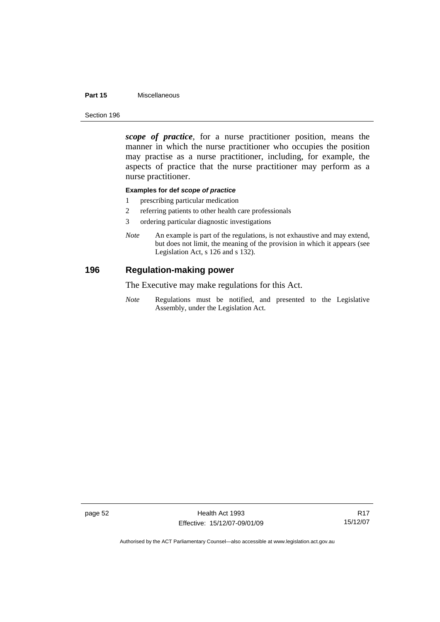#### **Part 15** Miscellaneous

Section 196

*scope of practice*, for a nurse practitioner position, means the manner in which the nurse practitioner who occupies the position may practise as a nurse practitioner, including, for example, the aspects of practice that the nurse practitioner may perform as a nurse practitioner.

#### **Examples for def** *scope of practice*

- 1 prescribing particular medication
- 2 referring patients to other health care professionals
- 3 ordering particular diagnostic investigations
- *Note* An example is part of the regulations, is not exhaustive and may extend, but does not limit, the meaning of the provision in which it appears (see Legislation Act, s 126 and s 132).

#### **196 Regulation-making power**

The Executive may make regulations for this Act.

*Note* Regulations must be notified, and presented to the Legislative Assembly, under the Legislation Act.

page 52 Health Act 1993 Effective: 15/12/07-09/01/09

R17 15/12/07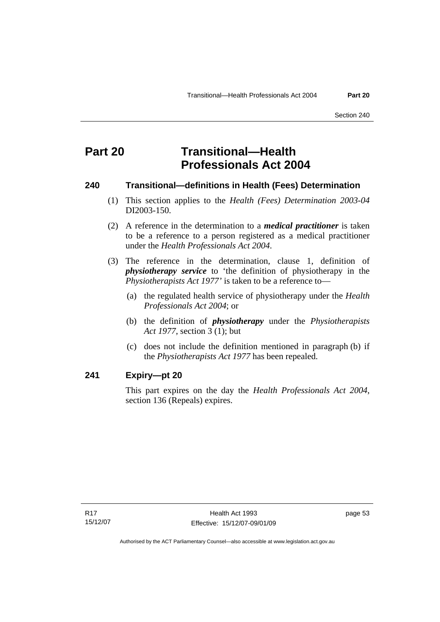# **Part 20 Transitional—Health Professionals Act 2004**

#### **240 Transitional—definitions in Health (Fees) Determination**

- (1) This section applies to the *Health (Fees) Determination 2003-04*  DI2003-150.
- (2) A reference in the determination to a *medical practitioner* is taken to be a reference to a person registered as a medical practitioner under the *Health Professionals Act 2004*.
- (3) The reference in the determination, clause 1, definition of *physiotherapy service* to 'the definition of physiotherapy in the *Physiotherapists Act 1977'* is taken to be a reference to—
	- (a) the regulated health service of physiotherapy under the *Health Professionals Act 2004*; or
	- (b) the definition of *physiotherapy* under the *Physiotherapists Act 1977*, section 3 (1); but
	- (c) does not include the definition mentioned in paragraph (b) if the *Physiotherapists Act 1977* has been repealed.

## **241 Expiry—pt 20**

This part expires on the day the *Health Professionals Act 2004*, section 136 (Repeals) expires.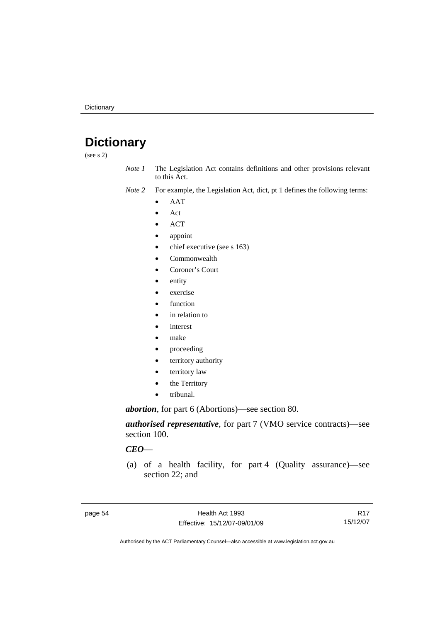# **Dictionary**

(see s 2)

- *Note 1* The Legislation Act contains definitions and other provisions relevant to this Act.
- *Note 2* For example, the Legislation Act, dict, pt 1 defines the following terms:
	- AAT
	- Act
	- ACT
	- appoint
	- chief executive (see s 163)
	- Commonwealth
	- Coroner's Court
	- entity
	- exercise
	- function
	- in relation to
	- interest
	- make
	- proceeding
	- territory authority
	- territory law
	- the Territory
	- tribunal.

*abortion*, for part 6 (Abortions)—see section 80.

*authorised representative*, for part 7 (VMO service contracts)—see section 100.

#### *CEO*—

 (a) of a health facility, for part 4 (Quality assurance)—see section 22; and

R17 15/12/07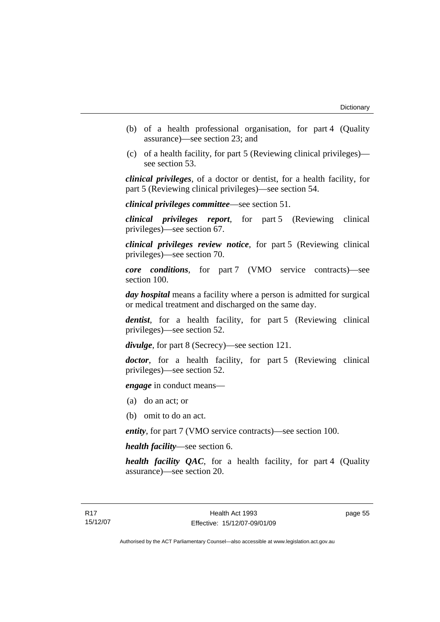- (b) of a health professional organisation, for part 4 (Quality assurance)—see section 23; and
- (c) of a health facility, for part 5 (Reviewing clinical privileges) see section 53.

*clinical privileges*, of a doctor or dentist, for a health facility, for part 5 (Reviewing clinical privileges)—see section 54.

*clinical privileges committee*—see section 51.

*clinical privileges report*, for part 5 (Reviewing clinical privileges)—see section 67.

*clinical privileges review notice*, for part 5 (Reviewing clinical privileges)—see section 70.

*core conditions*, for part 7 (VMO service contracts)—see section 100.

*day hospital* means a facility where a person is admitted for surgical or medical treatment and discharged on the same day.

*dentist*, for a health facility, for part 5 (Reviewing clinical privileges)—see section 52.

*divulge*, for part 8 (Secrecy)—see section 121.

*doctor*, for a health facility, for part 5 (Reviewing clinical privileges)—see section 52.

*engage* in conduct means—

- (a) do an act; or
- (b) omit to do an act.

*entity*, for part 7 (VMO service contracts)—see section 100.

*health facility*—see section 6.

*health facility QAC*, for a health facility, for part 4 (Quality assurance)—see section 20.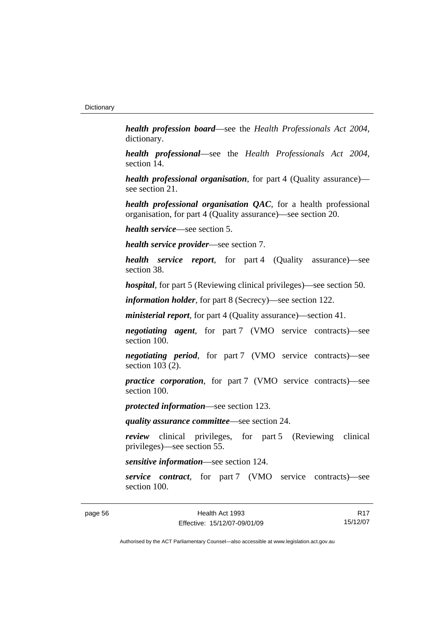*health profession board*—see the *Health Professionals Act 2004*, dictionary.

*health professional*—see the *Health Professionals Act 2004*, section 14.

*health professional organisation*, for part 4 (Quality assurance) see section 21.

*health professional organisation QAC*, for a health professional organisation, for part 4 (Quality assurance)—see section 20.

*health service*—see section 5.

*health service provider*—see section 7.

*health service report*, for part 4 (Quality assurance)—see section 38.

*hospital*, for part 5 (Reviewing clinical privileges)—see section 50.

*information holder*, for part 8 (Secrecy)—see section 122.

*ministerial report*, for part 4 (Quality assurance)—section 41.

*negotiating agent*, for part 7 (VMO service contracts)—see section 100.

*negotiating period*, for part 7 (VMO service contracts)—see section 103 (2).

*practice corporation*, for part 7 (VMO service contracts)—see section 100.

*protected information*—see section 123.

*quality assurance committee*—see section 24.

*review* clinical privileges, for part 5 (Reviewing clinical privileges)—see section 55.

*sensitive information*—see section 124.

*service contract*, for part 7 (VMO service contracts)—see section 100.

R17 15/12/07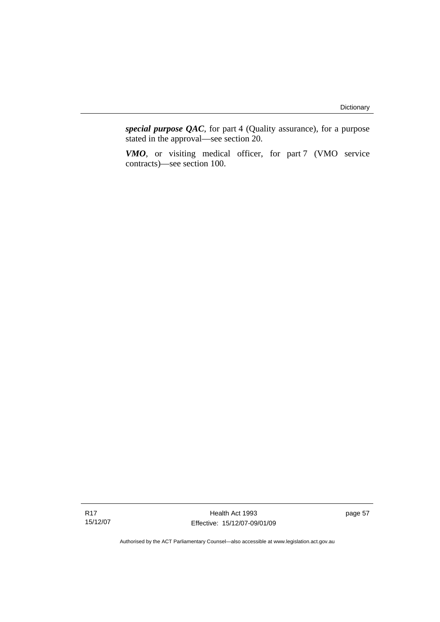*special purpose QAC*, for part 4 (Quality assurance), for a purpose stated in the approval—see section 20.

*VMO*, or visiting medical officer, for part 7 (VMO service contracts)—see section 100.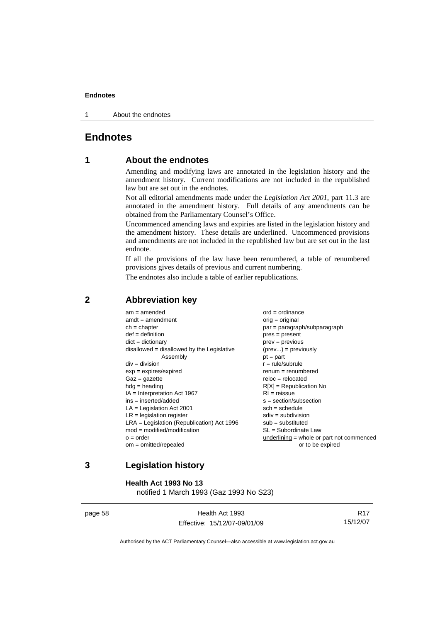1 About the endnotes

# **Endnotes**

# **1 About the endnotes**

Amending and modifying laws are annotated in the legislation history and the amendment history. Current modifications are not included in the republished law but are set out in the endnotes.

Not all editorial amendments made under the *Legislation Act 2001*, part 11.3 are annotated in the amendment history. Full details of any amendments can be obtained from the Parliamentary Counsel's Office.

Uncommenced amending laws and expiries are listed in the legislation history and the amendment history. These details are underlined. Uncommenced provisions and amendments are not included in the republished law but are set out in the last endnote.

If all the provisions of the law have been renumbered, a table of renumbered provisions gives details of previous and current numbering.

The endnotes also include a table of earlier republications.

| $am = amended$<br>$amdt = amendment$         | $ord = ordinance$<br>$orig = original$      |
|----------------------------------------------|---------------------------------------------|
| $ch = chapter$                               | $par = paragraph/subparagraph$              |
| $def = definition$                           | $pres = present$                            |
| $dict = dictionary$                          | $prev = previous$                           |
| $disallowed = disallowed by the Legislative$ | $(\text{prev}) = \text{previously}$         |
| Assembly                                     | $pt = part$                                 |
| $div = division$                             | $r = rule/subrule$                          |
| $exp = expires/expired$                      | $renum = renumbered$                        |
| $Gaz = gazette$                              | $reloc = relocated$                         |
| $hdg = heading$                              | $R[X]$ = Republication No                   |
| $IA = Interpretation Act 1967$               | $RI = reissue$                              |
| $ins = inserted/added$                       | $s = section/subsection$                    |
| $LA =$ Legislation Act 2001                  | $sch = schedule$                            |
| $LR =$ legislation register                  | $sdiv = subdivision$                        |
| $LRA =$ Legislation (Republication) Act 1996 | $sub =$ substituted                         |
| $mod = modified/modification$                | SL = Subordinate Law                        |
| $o = order$                                  | $underlining = whole or part not commenced$ |
| $om = omitted/repealed$                      | or to be expired                            |
|                                              |                                             |

## **2 Abbreviation key**

# **3 Legislation history**

**Health Act 1993 No 13** 

notified 1 March 1993 (Gaz 1993 No S23)

page 58 Health Act 1993 Effective: 15/12/07-09/01/09

R17 15/12/07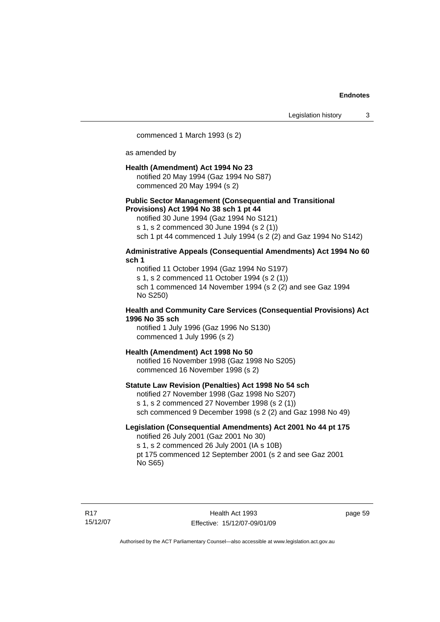commenced 1 March 1993 (s 2)

as amended by

#### **Health (Amendment) Act 1994 No 23**

notified 20 May 1994 (Gaz 1994 No S87) commenced 20 May 1994 (s 2)

#### **Public Sector Management (Consequential and Transitional Provisions) Act 1994 No 38 sch 1 pt 44**

notified 30 June 1994 (Gaz 1994 No S121) s 1, s 2 commenced 30 June 1994 (s 2 (1)) sch 1 pt 44 commenced 1 July 1994 (s 2 (2) and Gaz 1994 No S142)

#### **Administrative Appeals (Consequential Amendments) Act 1994 No 60 sch 1**

notified 11 October 1994 (Gaz 1994 No S197) s 1, s 2 commenced 11 October 1994 (s 2 (1)) sch 1 commenced 14 November 1994 (s 2 (2) and see Gaz 1994 No S250)

#### **Health and Community Care Services (Consequential Provisions) Act 1996 No 35 sch**

notified 1 July 1996 (Gaz 1996 No S130) commenced 1 July 1996 (s 2)

#### **Health (Amendment) Act 1998 No 50**

notified 16 November 1998 (Gaz 1998 No S205) commenced 16 November 1998 (s 2)

#### **Statute Law Revision (Penalties) Act 1998 No 54 sch**

notified 27 November 1998 (Gaz 1998 No S207) s 1, s 2 commenced 27 November 1998 (s 2 (1)) sch commenced 9 December 1998 (s 2 (2) and Gaz 1998 No 49)

## **Legislation (Consequential Amendments) Act 2001 No 44 pt 175**

notified 26 July 2001 (Gaz 2001 No 30) s 1, s 2 commenced 26 July 2001 (IA s 10B) pt 175 commenced 12 September 2001 (s 2 and see Gaz 2001 No S65)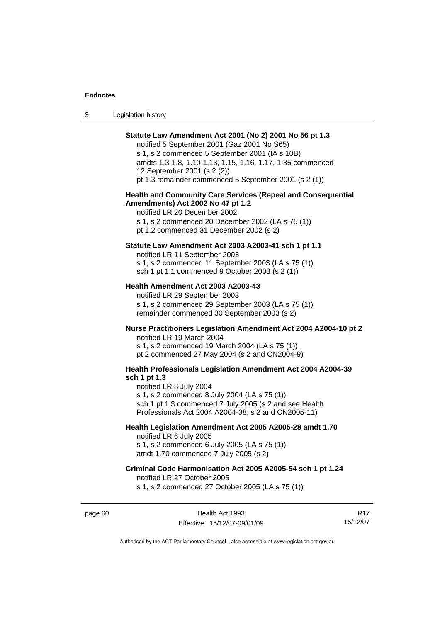| Legislation history<br>-3 |  |
|---------------------------|--|
|---------------------------|--|

| Statute Law Amendment Act 2001 (No 2) 2001 No 56 pt 1.3<br>notified 5 September 2001 (Gaz 2001 No S65)<br>s 1, s 2 commenced 5 September 2001 (IA s 10B)<br>amdts 1.3-1.8, 1.10-1.13, 1.15, 1.16, 1.17, 1.35 commenced<br>12 September 2001 (s 2 (2))<br>pt 1.3 remainder commenced 5 September 2001 (s 2 (1)) |
|----------------------------------------------------------------------------------------------------------------------------------------------------------------------------------------------------------------------------------------------------------------------------------------------------------------|
| <b>Health and Community Care Services (Repeal and Consequential</b><br>Amendments) Act 2002 No 47 pt 1.2<br>notified LR 20 December 2002<br>s 1, s 2 commenced 20 December 2002 (LA s 75 (1))<br>pt 1.2 commenced 31 December 2002 (s 2)                                                                       |
| Statute Law Amendment Act 2003 A2003-41 sch 1 pt 1.1<br>notified LR 11 September 2003<br>s 1, s 2 commenced 11 September 2003 (LA s 75 (1))<br>sch 1 pt 1.1 commenced 9 October 2003 (s 2 (1))                                                                                                                 |
| Health Amendment Act 2003 A2003-43<br>notified LR 29 September 2003<br>s 1, s 2 commenced 29 September 2003 (LA s 75 (1))<br>remainder commenced 30 September 2003 (s 2)                                                                                                                                       |
| Nurse Practitioners Legislation Amendment Act 2004 A2004-10 pt 2<br>notified LR 19 March 2004<br>s 1, s 2 commenced 19 March 2004 (LA s 75 (1))<br>pt 2 commenced 27 May 2004 (s 2 and CN2004-9)                                                                                                               |
| Health Professionals Legislation Amendment Act 2004 A2004-39<br>sch 1 pt 1.3<br>notified LR 8 July 2004<br>s 1, s 2 commenced 8 July 2004 (LA s 75 (1))<br>sch 1 pt 1.3 commenced 7 July 2005 (s 2 and see Health<br>Professionals Act 2004 A2004-38, s 2 and CN2005-11)                                       |
| Health Legislation Amendment Act 2005 A2005-28 amdt 1.70<br>notified LR 6 July 2005<br>s 1, s 2 commenced 6 July 2005 (LA s 75 (1))<br>amdt 1.70 commenced 7 July 2005 (s 2)                                                                                                                                   |
| Criminal Code Harmonisation Act 2005 A2005-54 sch 1 pt 1.24<br>notified LR 27 October 2005<br>s 1, s 2 commenced 27 October 2005 (LA s 75 (1))                                                                                                                                                                 |

page 60 Health Act 1993 Effective: 15/12/07-09/01/09

R17 15/12/07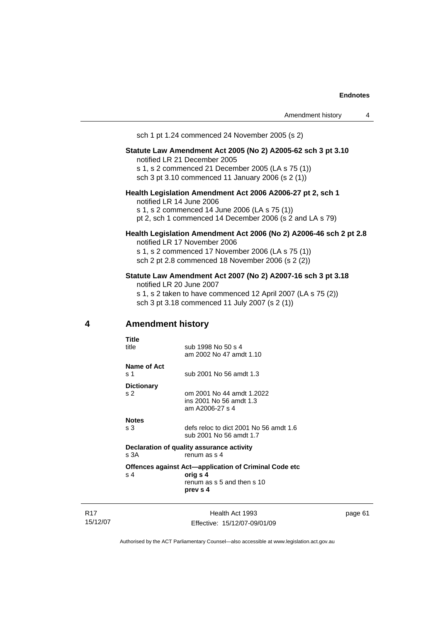sch 1 pt 1.24 commenced 24 November 2005 (s 2)

# **Statute Law Amendment Act 2005 (No 2) A2005-62 sch 3 pt 3.10**

notified LR 21 December 2005 s 1, s 2 commenced 21 December 2005 (LA s 75 (1)) sch 3 pt 3.10 commenced 11 January 2006 (s 2 (1))

#### **Health Legislation Amendment Act 2006 A2006-27 pt 2, sch 1**  notified LR 14 June 2006 s 1, s 2 commenced 14 June 2006 (LA s 75 (1))

pt 2, sch 1 commenced 14 December 2006 (s 2 and LA s 79)

#### **Health Legislation Amendment Act 2006 (No 2) A2006-46 sch 2 pt 2.8**  notified LR 17 November 2006

s 1, s 2 commenced 17 November 2006 (LA s 75 (1)) sch 2 pt 2.8 commenced 18 November 2006 (s 2 (2))

#### **Statute Law Amendment Act 2007 (No 2) A2007-16 sch 3 pt 3.18**

notified LR 20 June 2007 s 1, s 2 taken to have commenced 12 April 2007 (LA s 75 (2)) sch 3 pt 3.18 commenced 11 July 2007 (s 2 (1))

#### **4 Amendment history**

| Title              |                                                                         |
|--------------------|-------------------------------------------------------------------------|
| title              | sub 1998 No 50 s 4<br>am 2002 No 47 amdt 1.10                           |
| Name of Act<br>s 1 | sub 2001 No 56 amdt 1.3                                                 |
| <b>Dictionary</b>  |                                                                         |
| s 2                | om 2001 No 44 amdt 1.2022<br>ins 2001 No 56 amdt 1.3<br>am A2006-27 s 4 |
| <b>Notes</b>       |                                                                         |
| s 3                | defs reloc to dict 2001 No 56 amdt 1.6<br>sub 2001 No 56 amdt 1.7       |
| s 3A               | Declaration of quality assurance activity<br>renum as s 4               |
|                    | Offences against Act—application of Criminal Code etc                   |
| $\mathbf{s}$ 4     | orig s 4<br>renum as s 5 and then s 10<br>prev s 4                      |

R17 15/12/07

Health Act 1993 Effective: 15/12/07-09/01/09 page 61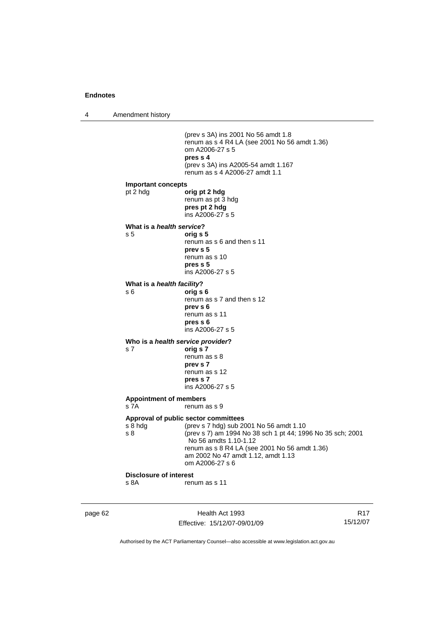4 Amendment history

|                                           | (prev s 3A) ins 2001 No 56 amdt 1.8<br>renum as s 4 R4 LA (see 2001 No 56 amdt 1.36)<br>om A2006-27 s 5<br>pres s 4<br>(prev s 3A) ins A2005-54 amdt 1.167<br>renum as s 4 A2006-27 amdt 1.1                                                                                     |
|-------------------------------------------|----------------------------------------------------------------------------------------------------------------------------------------------------------------------------------------------------------------------------------------------------------------------------------|
| <b>Important concepts</b><br>pt 2 hdg     | orig pt 2 hdg<br>renum as pt 3 hdg<br>pres pt 2 hdg<br>ins A2006-27 s 5                                                                                                                                                                                                          |
| What is a <i>health service</i> ?<br>s 5  | orig s 5<br>renum as s 6 and then s 11<br>prev s 5<br>renum as s 10<br>pres <sub>5</sub><br>ins A2006-27 s 5                                                                                                                                                                     |
| What is a <i>health facility</i> ?<br>s 6 | orig s 6<br>renum as s 7 and then s 12<br>prev s 6<br>renum as s 11<br>pres s 6<br>ins A2006-27 s 5                                                                                                                                                                              |
| s 7                                       | Who is a health service provider?<br>orig s 7<br>renum as s 8<br>prev s 7<br>renum as s 12<br>pres s 7<br>ins A2006-27 s 5                                                                                                                                                       |
| <b>Appointment of members</b><br>s 7A     | renum as s 9                                                                                                                                                                                                                                                                     |
| s 8 hda<br>s 8                            | Approval of public sector committees<br>(prev s 7 hdg) sub 2001 No 56 amdt 1.10<br>(prev s 7) am 1994 No 38 sch 1 pt 44; 1996 No 35 sch; 2001<br>No 56 amdts 1.10-1.12<br>renum as s 8 R4 LA (see 2001 No 56 amdt 1.36)<br>am 2002 No 47 amdt 1.12, amdt 1.13<br>om A2006-27 s 6 |
| <b>Disclosure of interest</b>             |                                                                                                                                                                                                                                                                                  |
| s 8A                                      | renum as s 11                                                                                                                                                                                                                                                                    |

page 62 Health Act 1993 Effective: 15/12/07-09/01/09

R17 15/12/07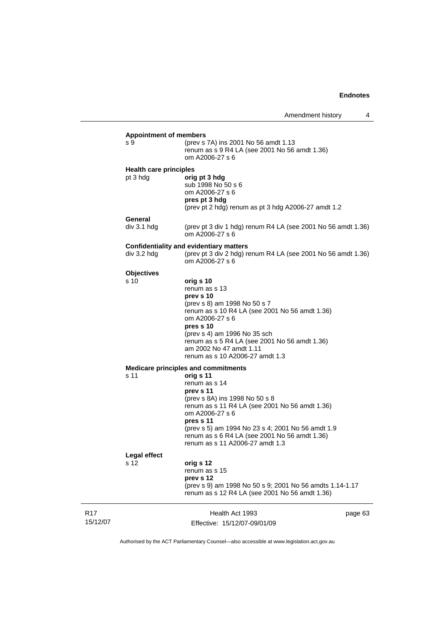|                 | <b>Appointment of members</b><br>(prev s 7A) ins 2001 No 56 amdt 1.13<br>s 9 |                                                                                 |         |  |
|-----------------|------------------------------------------------------------------------------|---------------------------------------------------------------------------------|---------|--|
|                 |                                                                              | renum as s 9 R4 LA (see 2001 No 56 amdt 1.36)<br>om A2006-27 s 6                |         |  |
|                 | <b>Health care principles</b>                                                |                                                                                 |         |  |
|                 | pt 3 hdg                                                                     | orig pt 3 hdg<br>sub 1998 No 50 s 6                                             |         |  |
|                 |                                                                              | om A2006-27 s 6                                                                 |         |  |
|                 |                                                                              | pres pt 3 hdg<br>(prev pt 2 hdg) renum as pt 3 hdg A2006-27 amdt 1.2            |         |  |
|                 | General                                                                      |                                                                                 |         |  |
|                 | div 3.1 h dg                                                                 | (prev pt 3 div 1 hdg) renum R4 LA (see 2001 No 56 amdt 1.36)<br>om A2006-27 s 6 |         |  |
|                 | Confidentiality and evidentiary matters                                      |                                                                                 |         |  |
|                 | div 3.2 hdg                                                                  | (prev pt 3 div 2 hdg) renum R4 LA (see 2001 No 56 amdt 1.36)<br>om A2006-27 s 6 |         |  |
|                 | <b>Objectives</b>                                                            |                                                                                 |         |  |
|                 | s 10                                                                         | orig s 10<br>renum as s 13                                                      |         |  |
|                 |                                                                              | prev s 10                                                                       |         |  |
|                 |                                                                              | (prev s 8) am 1998 No 50 s 7                                                    |         |  |
|                 |                                                                              | renum as s 10 R4 LA (see 2001 No 56 amdt 1.36)                                  |         |  |
|                 |                                                                              | om A2006-27 s 6<br>pres s 10                                                    |         |  |
|                 |                                                                              | (prev s 4) am 1996 No 35 sch                                                    |         |  |
|                 |                                                                              | renum as s 5 R4 LA (see 2001 No 56 amdt 1.36)                                   |         |  |
|                 |                                                                              | am 2002 No 47 amdt 1.11                                                         |         |  |
|                 |                                                                              | renum as s 10 A2006-27 amdt 1.3                                                 |         |  |
|                 | <b>Medicare principles and commitments</b><br>orig s 11<br>s 11              |                                                                                 |         |  |
|                 |                                                                              | renum as s 14                                                                   |         |  |
|                 |                                                                              | prev s 11                                                                       |         |  |
|                 |                                                                              | (prev s 8A) ins 1998 No 50 s 8                                                  |         |  |
|                 |                                                                              | renum as s 11 R4 LA (see 2001 No 56 amdt 1.36)                                  |         |  |
|                 |                                                                              | om A2006-27 s 6<br>pres s 11                                                    |         |  |
|                 |                                                                              | (prev s 5) am 1994 No 23 s 4; 2001 No 56 amdt 1.9                               |         |  |
|                 |                                                                              | renum as s 6 R4 LA (see 2001 No 56 amdt 1.36)                                   |         |  |
|                 |                                                                              | renum as s 11 A2006-27 amdt 1.3                                                 |         |  |
|                 | <b>Legal effect</b>                                                          |                                                                                 |         |  |
|                 | s 12                                                                         | orig s 12                                                                       |         |  |
|                 |                                                                              | renum as s 15<br>prev s 12                                                      |         |  |
|                 |                                                                              | (prev s 9) am 1998 No 50 s 9; 2001 No 56 amdts 1.14-1.17                        |         |  |
|                 |                                                                              | renum as s 12 R4 LA (see 2001 No 56 amdt 1.36)                                  |         |  |
| R <sub>17</sub> |                                                                              | Health Act 1993                                                                 | page 63 |  |
| 15/12/07        |                                                                              | Effective: 15/12/07-09/01/09                                                    |         |  |

Authorised by the ACT Parliamentary Counsel—also accessible at www.legislation.act.gov.au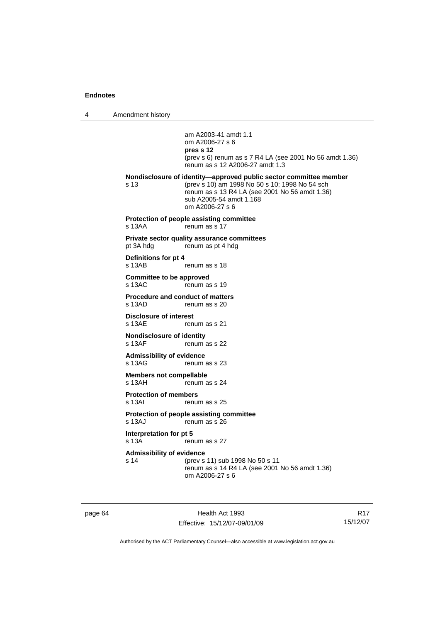4 Amendment history

| s 13                                              | am A2003-41 amdt 1.1<br>om A2006-27 s 6<br>pres s 12<br>(prev s 6) renum as s 7 R4 LA (see 2001 No 56 amdt 1.36)<br>renum as s 12 A2006-27 amdt 1.3<br>Nondisclosure of identity-approved public sector committee member<br>(prev s 10) am 1998 No 50 s 10; 1998 No 54 sch |
|---------------------------------------------------|----------------------------------------------------------------------------------------------------------------------------------------------------------------------------------------------------------------------------------------------------------------------------|
|                                                   | renum as s 13 R4 LA (see 2001 No 56 amdt 1.36)<br>sub A2005-54 amdt 1.168<br>om A2006-27 s 6                                                                                                                                                                               |
| s 13AA                                            | Protection of people assisting committee<br>renum as s 17                                                                                                                                                                                                                  |
| pt 3A hdg                                         | Private sector quality assurance committees<br>renum as pt 4 hdg                                                                                                                                                                                                           |
| Definitions for pt 4<br>s 13AB                    | renum as s 18                                                                                                                                                                                                                                                              |
| <b>Committee to be approved</b><br>s 13AC         | renum as s 19                                                                                                                                                                                                                                                              |
| <b>Procedure and conduct of matters</b><br>s 13AD | renum as s 20                                                                                                                                                                                                                                                              |
| <b>Disclosure of interest</b><br>$s$ 13AF         | renum as s 21                                                                                                                                                                                                                                                              |
| <b>Nondisclosure of identity</b><br>s 13AF        | renum as s 22                                                                                                                                                                                                                                                              |
| <b>Admissibility of evidence</b><br>$s$ 13AG      | renum as s 23                                                                                                                                                                                                                                                              |
| <b>Members not compellable</b><br>s 13AH          | renum as s 24                                                                                                                                                                                                                                                              |
| <b>Protection of members</b><br>$s$ 13AI          | renum as s 25                                                                                                                                                                                                                                                              |
| s 13AJ                                            | Protection of people assisting committee<br>renum as s 26                                                                                                                                                                                                                  |
| Interpretation for pt 5<br>s 13A                  | renum as s 27                                                                                                                                                                                                                                                              |
| <b>Admissibility of evidence</b><br>s 14          | (prev s 11) sub 1998 No 50 s 11<br>renum as s 14 R4 LA (see 2001 No 56 amdt 1.36)<br>om A2006-27 s 6                                                                                                                                                                       |

page 64 Health Act 1993 Effective: 15/12/07-09/01/09

R17 15/12/07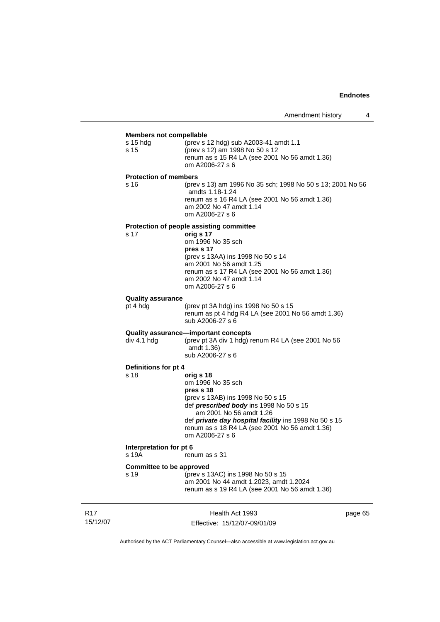# **Members not compellable**

| <b>Members not compellable</b>          |                                                                                                                                                                                                                                                                                      |
|-----------------------------------------|--------------------------------------------------------------------------------------------------------------------------------------------------------------------------------------------------------------------------------------------------------------------------------------|
| s 15 hdg<br>s 15                        | (prev s 12 hdg) sub A2003-41 amdt 1.1<br>(prev s 12) am 1998 No 50 s 12<br>renum as s 15 R4 LA (see 2001 No 56 amdt 1.36)<br>om A2006-27 s 6                                                                                                                                         |
| <b>Protection of members</b>            |                                                                                                                                                                                                                                                                                      |
| s 16                                    | (prev s 13) am 1996 No 35 sch; 1998 No 50 s 13; 2001 No 56<br>amdts 1.18-1.24<br>renum as s 16 R4 LA (see 2001 No 56 amdt 1.36)<br>am 2002 No 47 amdt 1.14<br>om A2006-27 s 6                                                                                                        |
|                                         | Protection of people assisting committee                                                                                                                                                                                                                                             |
| s 17                                    | orig s 17<br>om 1996 No 35 sch<br>pres s 17<br>(prev s 13AA) ins 1998 No 50 s 14<br>am 2001 No 56 amdt 1.25<br>renum as s 17 R4 LA (see 2001 No 56 amdt 1.36)<br>am 2002 No 47 amdt 1.14<br>om A2006-27 s 6                                                                          |
| <b>Quality assurance</b>                |                                                                                                                                                                                                                                                                                      |
| pt 4 hdg                                | (prev pt 3A hdg) ins 1998 No 50 s 15<br>renum as pt 4 hdg R4 LA (see 2001 No 56 amdt 1.36)<br>sub A2006-27 s 6                                                                                                                                                                       |
| div 4.1 hdg                             | Quality assurance—important concepts<br>(prev pt 3A div 1 hdg) renum R4 LA (see 2001 No 56<br>amdt 1.36)<br>sub A2006-27 s 6                                                                                                                                                         |
| Definitions for pt 4                    |                                                                                                                                                                                                                                                                                      |
| s 18                                    | orig s 18<br>om 1996 No 35 sch<br>pres s 18<br>(prev s 13AB) ins 1998 No 50 s 15<br>def prescribed body ins 1998 No 50 s 15<br>am 2001 No 56 amdt 1.26<br>def private day hospital facility ins 1998 No 50 s 15<br>renum as s 18 R4 LA (see 2001 No 56 amdt 1.36)<br>om A2006-27 s 6 |
| Interpretation for pt 6                 |                                                                                                                                                                                                                                                                                      |
| s 19A                                   | renum as s 31                                                                                                                                                                                                                                                                        |
| <b>Committee to be approved</b><br>s 19 | (prev s 13AC) ins 1998 No 50 s 15<br>am 2001 No 44 amdt 1.2023, amdt 1.2024<br>renum as s 19 R4 LA (see 2001 No 56 amdt 1.36)                                                                                                                                                        |
|                                         |                                                                                                                                                                                                                                                                                      |

R17 15/12/07

Health Act 1993 Effective: 15/12/07-09/01/09 page 65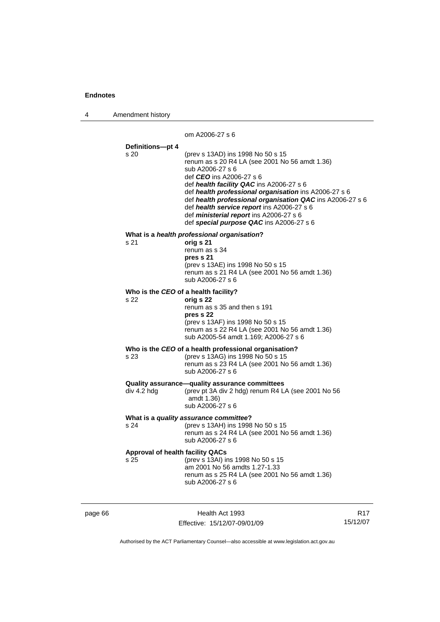| 4 | Amendment history |
|---|-------------------|
|---|-------------------|

om A2006-27 s 6

# **Definitions—pt 4**

| Denninons—br 4<br>s 20                  | (prev s 13AD) ins 1998 No 50 s 15<br>renum as s 20 R4 LA (see 2001 No 56 amdt 1.36)<br>sub A2006-27 s 6<br>def CEO ins A2006-27 s 6<br>def health facility QAC ins A2006-27 s 6<br>def health professional organisation ins A2006-27 s 6<br>def health professional organisation QAC ins A2006-27 s 6<br>def health service report ins A2006-27 s 6<br>def ministerial report ins A2006-27 s 6<br>def special purpose QAC ins A2006-27 s 6 |  |  |
|-----------------------------------------|--------------------------------------------------------------------------------------------------------------------------------------------------------------------------------------------------------------------------------------------------------------------------------------------------------------------------------------------------------------------------------------------------------------------------------------------|--|--|
| s 21                                    | What is a health professional organisation?<br>orig s 21                                                                                                                                                                                                                                                                                                                                                                                   |  |  |
|                                         | renum as s 34                                                                                                                                                                                                                                                                                                                                                                                                                              |  |  |
|                                         | pres s 21<br>(prev s 13AE) ins 1998 No 50 s 15                                                                                                                                                                                                                                                                                                                                                                                             |  |  |
|                                         | renum as s 21 R4 LA (see 2001 No 56 amdt 1.36)<br>sub A2006-27 s 6                                                                                                                                                                                                                                                                                                                                                                         |  |  |
| Who is the CEO of a health facility?    |                                                                                                                                                                                                                                                                                                                                                                                                                                            |  |  |
| s 22                                    | orig s 22<br>renum as s 35 and then s 191                                                                                                                                                                                                                                                                                                                                                                                                  |  |  |
|                                         | pres s 22                                                                                                                                                                                                                                                                                                                                                                                                                                  |  |  |
|                                         | (prev s 13AF) ins 1998 No 50 s 15<br>renum as s 22 R4 LA (see 2001 No 56 amdt 1.36)<br>sub A2005-54 amdt 1.169; A2006-27 s 6                                                                                                                                                                                                                                                                                                               |  |  |
|                                         | Who is the CEO of a health professional organisation?                                                                                                                                                                                                                                                                                                                                                                                      |  |  |
| s 23                                    | (prev s 13AG) ins 1998 No 50 s 15<br>renum as s 23 R4 LA (see 2001 No 56 amdt 1.36)<br>sub A2006-27 s 6                                                                                                                                                                                                                                                                                                                                    |  |  |
|                                         | Quality assurance-quality assurance committees                                                                                                                                                                                                                                                                                                                                                                                             |  |  |
| div 4.2 hdg                             | (prev pt 3A div 2 hdg) renum R4 LA (see 2001 No 56<br>amdt 1.36)<br>sub A2006-27 s 6                                                                                                                                                                                                                                                                                                                                                       |  |  |
| What is a quality assurance committee?  |                                                                                                                                                                                                                                                                                                                                                                                                                                            |  |  |
| s 24                                    | (prev s 13AH) ins 1998 No 50 s 15<br>renum as s 24 R4 LA (see 2001 No 56 amdt 1.36)<br>sub A2006-27 s 6                                                                                                                                                                                                                                                                                                                                    |  |  |
| <b>Approval of health facility QACs</b> |                                                                                                                                                                                                                                                                                                                                                                                                                                            |  |  |
| s 25                                    | (prev s 13AI) ins 1998 No 50 s 15<br>am 2001 No 56 amdts 1.27-1.33                                                                                                                                                                                                                                                                                                                                                                         |  |  |
|                                         | renum as s 25 R4 LA (see 2001 No 56 amdt 1.36)<br>sub A2006-27 s 6                                                                                                                                                                                                                                                                                                                                                                         |  |  |
|                                         |                                                                                                                                                                                                                                                                                                                                                                                                                                            |  |  |
|                                         |                                                                                                                                                                                                                                                                                                                                                                                                                                            |  |  |

J.

page 66 Health Act 1993 Effective: 15/12/07-09/01/09

R17 15/12/07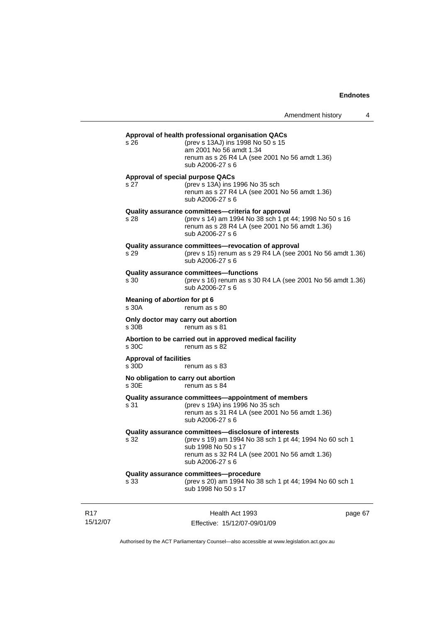|                                                               | Amendment history                                                                                                                                                                                            |  | 4       |
|---------------------------------------------------------------|--------------------------------------------------------------------------------------------------------------------------------------------------------------------------------------------------------------|--|---------|
| s 26                                                          | Approval of health professional organisation QACs<br>(prev s 13AJ) ins 1998 No 50 s 15<br>am 2001 No 56 amdt 1.34<br>renum as s 26 R4 LA (see 2001 No 56 amdt 1.36)<br>sub A2006-27 s 6                      |  |         |
| <b>Approval of special purpose QACs</b><br>s 27               | (prev s 13A) ins 1996 No 35 sch<br>renum as s 27 R4 LA (see 2001 No 56 amdt 1.36)<br>sub A2006-27 s 6                                                                                                        |  |         |
| s 28                                                          | Quality assurance committees-criteria for approval<br>(prev s 14) am 1994 No 38 sch 1 pt 44; 1998 No 50 s 16<br>renum as s 28 R4 LA (see 2001 No 56 amdt 1.36)<br>sub A2006-27 s 6                           |  |         |
| s 29                                                          | Quality assurance committees-revocation of approval<br>(prev s 15) renum as s 29 R4 LA (see 2001 No 56 amdt 1.36)<br>sub A2006-27 s 6                                                                        |  |         |
| s 30                                                          | <b>Quality assurance committees-functions</b><br>(prev s 16) renum as s 30 R4 LA (see 2001 No 56 amdt 1.36)<br>sub A2006-27 s 6                                                                              |  |         |
| Meaning of abortion for pt 6<br>s 30A                         | renum as s 80                                                                                                                                                                                                |  |         |
| Only doctor may carry out abortion<br>s 30B                   | renum as s 81                                                                                                                                                                                                |  |         |
| s 30C                                                         | Abortion to be carried out in approved medical facility<br>renum as s 82                                                                                                                                     |  |         |
| <b>Approval of facilities</b><br>s 30D                        | renum as s 83                                                                                                                                                                                                |  |         |
| No obligation to carry out abortion<br>s 30E<br>renum as s 84 |                                                                                                                                                                                                              |  |         |
| s 31                                                          | Quality assurance committees-appointment of members<br>(prev s 19A) ins 1996 No 35 sch<br>renum as s 31 R4 LA (see 2001 No 56 amdt 1.36)<br>sub A2006-27 s 6                                                 |  |         |
| s 32                                                          | Quality assurance committees-disclosure of interests<br>(prev s 19) am 1994 No 38 sch 1 pt 44; 1994 No 60 sch 1<br>sub 1998 No 50 s 17<br>renum as s 32 R4 LA (see 2001 No 56 amdt 1.36)<br>sub A2006-27 s 6 |  |         |
| s 33                                                          | Quality assurance committees-procedure<br>(prev s 20) am 1994 No 38 sch 1 pt 44; 1994 No 60 sch 1<br>sub 1998 No 50 s 17                                                                                     |  |         |
|                                                               | Health Act 1993                                                                                                                                                                                              |  | page 67 |

Authorised by the ACT Parliamentary Counsel—also accessible at www.legislation.act.gov.au

Effective: 15/12/07-09/01/09

R17 15/12/07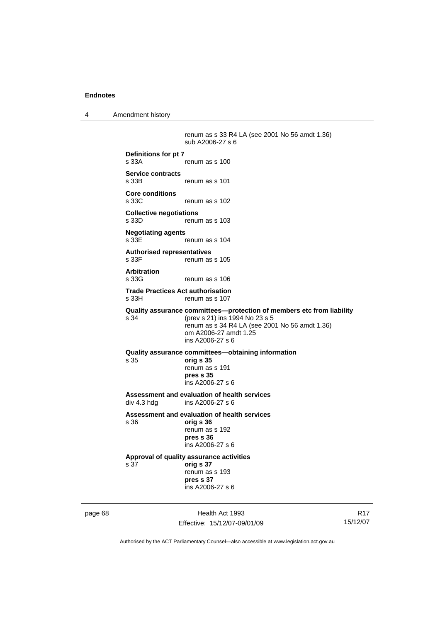4 Amendment history

 renum as s 33 R4 LA (see 2001 No 56 amdt 1.36) sub A2006-27 s 6 **Definitions for pt 7**  renum as s 100 **Service contracts**  renum as s 101 **Core conditions**  s 33C renum as s 102 **Collective negotiations**  s 33D renum as s 103 **Negotiating agents**  s 33E renum as s 104 **Authorised representatives**  s 33F renum as s 105 **Arbitration**  s 33G renum as s 106 **Trade Practices Act authorisation**  renum as s 107 **Quality assurance committees—protection of members etc from liability** s 34 (prev s 21) ins 1994 No 23 s 5 renum as s 34 R4 LA (see 2001 No 56 amdt 1.36) om A2006-27 amdt 1.25 ins A2006-27 s 6 **Quality assurance committees—obtaining information** s 35 **orig s 35**  renum as s 191 **pres s 35**  ins A2006-27 s 6 **Assessment and evaluation of health services**  ins A2006-27 s 6 **Assessment and evaluation of health services**  s 36 **orig s 36**  renum as s 192 **pres s 36**  ins A2006-27 s 6 **Approval of quality assurance activities**  s 37 **orig s 37**  renum as s 193 **pres s 37**  ins A2006-27 s 6

page 68 Health Act 1993 Effective: 15/12/07-09/01/09

R17 15/12/07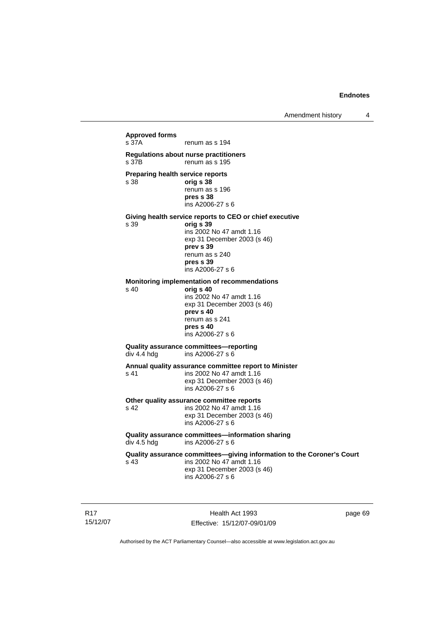**Approved forms**  s 37A renum as s 194 **Regulations about nurse practitioners**  s 37B renum as s 195 **Preparing health service reports**  s 38 **orig s 38** renum as s 196 **pres s 38**  ins A2006-27 s 6 **Giving health service reports to CEO or chief executive**  s 39 **orig s 39**  ins 2002 No 47 amdt 1.16 exp 31 December 2003 (s 46) **prev s 39**  renum as s 240 **pres s 39**  ins A2006-27 s 6 **Monitoring implementation of recommendations**  s 40 **orig s 40**  ins 2002 No 47 amdt 1.16 exp 31 December 2003 (s 46) **prev s 40**  renum as s 241 **pres s 40**  ins A2006-27 s 6 **Quality assurance committees—reporting**  div 4.4 hdg ins A2006-27 s 6 **Annual quality assurance committee report to Minister**  s 41 ins 2002 No 47 amdt 1.16 exp 31 December 2003 (s 46) ins A2006-27 s 6 **Other quality assurance committee reports**  s 42 ins 2002 No 47 amdt 1.16 exp 31 December 2003 (s 46) ins A2006-27 s 6 **Quality assurance committees—information sharing div 4.5 hdg ins A2006-27 s 6** ins A2006-27 s 6 **Quality assurance committees—giving information to the Coroner's Court**  s 43 ins 2002 No 47 amdt 1.16 exp 31 December 2003 (s 46) ins A2006-27 s 6

R17 15/12/07

Health Act 1993 Effective: 15/12/07-09/01/09 page 69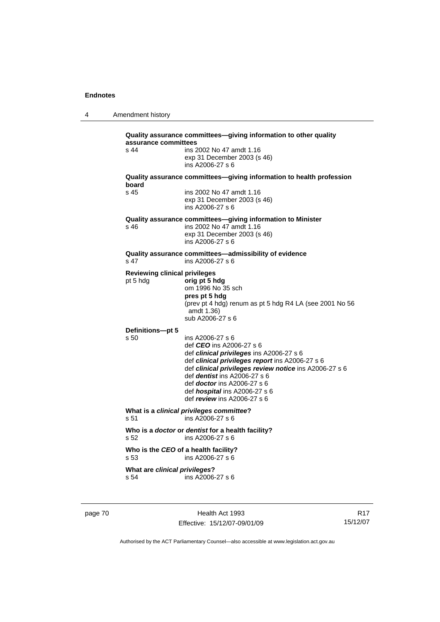4 Amendment history

| s 44                                             | ins 2002 No 47 amdt 1.16                                                                                                                                                                                                                                                                                                                                    |
|--------------------------------------------------|-------------------------------------------------------------------------------------------------------------------------------------------------------------------------------------------------------------------------------------------------------------------------------------------------------------------------------------------------------------|
|                                                  | exp 31 December 2003 (s 46)<br>ins A2006-27 s 6                                                                                                                                                                                                                                                                                                             |
| board                                            | Quality assurance committees-giving information to health profession                                                                                                                                                                                                                                                                                        |
| s 45                                             | ins 2002 No 47 amdt 1.16<br>exp 31 December 2003 (s 46)<br>ins A2006-27 s 6                                                                                                                                                                                                                                                                                 |
| s 46                                             | Quality assurance committees-giving information to Minister<br>ins 2002 No 47 amdt 1.16<br>exp 31 December 2003 (s 46)<br>ins A2006-27 s 6                                                                                                                                                                                                                  |
| s 47                                             | Quality assurance committees-admissibility of evidence<br>ins A2006-27 s 6                                                                                                                                                                                                                                                                                  |
| <b>Reviewing clinical privileges</b><br>pt 5 hdg | orig pt 5 hdg<br>om 1996 No 35 sch<br>pres pt 5 hdg<br>(prev pt 4 hdg) renum as pt 5 hdg R4 LA (see 2001 No 56<br>amdt 1.36)<br>sub A2006-27 s 6                                                                                                                                                                                                            |
| Definitions-pt 5                                 |                                                                                                                                                                                                                                                                                                                                                             |
| s 50                                             | ins A2006-27 s 6<br>def <i>CEO</i> ins A2006-27 s 6<br>def clinical privileges ins A2006-27 s 6<br>def clinical privileges report ins A2006-27 s 6<br>def clinical privileges review notice ins A2006-27 s 6<br>def <i>dentist</i> ins $A2006-27$ s 6<br>def <i>doctor</i> ins A2006-27 s 6<br>def hospital ins A2006-27 s 6<br>def review ins A2006-27 s 6 |
| s 51                                             | What is a clinical privileges committee?<br>ins A2006-27 s 6                                                                                                                                                                                                                                                                                                |
| s <sub>52</sub>                                  | Who is a doctor or dentist for a health facility?<br>ins $A2006-27$ s 6                                                                                                                                                                                                                                                                                     |
| s 53                                             | Who is the CEO of a health facility?<br>ins A2006-27 s 6                                                                                                                                                                                                                                                                                                    |
|                                                  |                                                                                                                                                                                                                                                                                                                                                             |

page 70 **Health Act 1993** Effective: 15/12/07-09/01/09

R17 15/12/07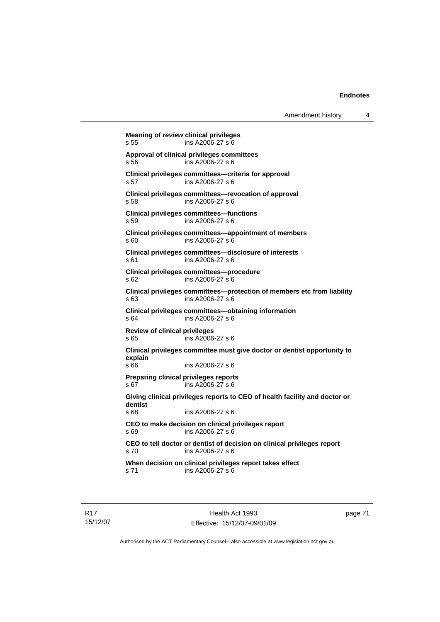```
Meaning of review clinical privileges 
s 55 ins A2006-27 s 6 
Approval of clinical privileges committees 
s 56 ins A2006-27 s 6 
Clinical privileges committees—criteria for approval 
s 57 ins A2006-27 s 6 
Clinical privileges committees—revocation of approval 
s 58 ins A2006-27 s 6 
Clinical privileges committees—functions 
s 59 ins A2006-27 s 6 
Clinical privileges committees—appointment of members 
s 60 ins A2006-27 s 6 
Clinical privileges committees—disclosure of interests 
s 61 ins A2006-27 s 6 
Clinical privileges committees—procedure 
s 62 ins A2006-27 s 6 
Clinical privileges committees—protection of members etc from liability 
s 63 ins A2006-27 s 6 
Clinical privileges committees—obtaining information 
s 64 ins A2006-27 s 6 
Review of clinical privileges 
s 65 ins A2006-27 s 6 
Clinical privileges committee must give doctor or dentist opportunity to 
explain 
s 66 ins A2006-27 s 6 
Preparing clinical privileges reports 
s 67 ins A2006-27 s 6 
Giving clinical privileges reports to CEO of health facility and doctor or 
dentist 
s 68 ins A2006-27 s 6 
CEO to make decision on clinical privileges report 
s 69 ins A2006-27 s 6 
CEO to tell doctor or dentist of decision on clinical privileges report 
s 70 ins A2006-27 s 6 
When decision on clinical privileges report takes effect 
s 71 ins A2006-27 s 6
```
R17 15/12/07 page 71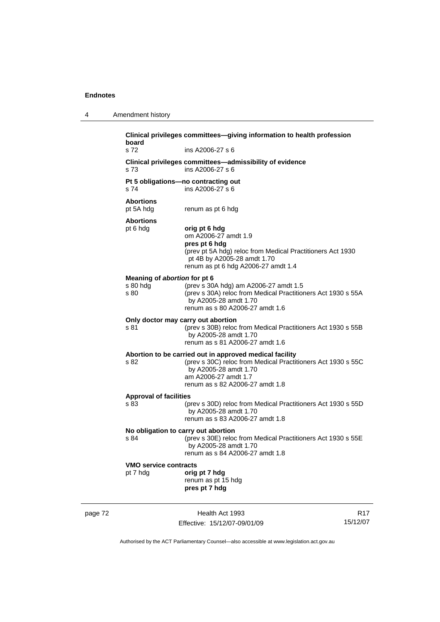4 Amendment history

|         | board<br>s 72                                    | Clinical privileges committees-giving information to health profession<br>ins A2006-27 s 6                                                                                                                  |                 |
|---------|--------------------------------------------------|-------------------------------------------------------------------------------------------------------------------------------------------------------------------------------------------------------------|-----------------|
|         | s 73                                             | Clinical privileges committees—admissibility of evidence<br>ins A2006-27 s 6                                                                                                                                |                 |
|         | s 74                                             | Pt 5 obligations-no contracting out<br>ins A2006-27 s 6                                                                                                                                                     |                 |
|         | <b>Abortions</b><br>pt 5A hdg                    | renum as pt 6 hdg                                                                                                                                                                                           |                 |
|         | <b>Abortions</b><br>pt 6 hdg                     | orig pt 6 hdg<br>om A2006-27 amdt 1.9<br>pres pt 6 hdg<br>(prev pt 5A hdg) reloc from Medical Practitioners Act 1930<br>pt 4B by A2005-28 amdt 1.70<br>renum as pt 6 hdg A2006-27 amdt 1.4                  |                 |
|         | Meaning of abortion for pt 6<br>s 80 hdg<br>s 80 | (prev s 30A hdg) am A2006-27 amdt 1.5<br>(prev s 30A) reloc from Medical Practitioners Act 1930 s 55A<br>by A2005-28 amdt 1.70<br>renum as s 80 A2006-27 amdt 1.6                                           |                 |
|         | s 81                                             | Only doctor may carry out abortion<br>(prev s 30B) reloc from Medical Practitioners Act 1930 s 55B<br>by A2005-28 amdt 1.70<br>renum as s 81 A2006-27 amdt 1.6                                              |                 |
|         | s 82                                             | Abortion to be carried out in approved medical facility<br>(prev s 30C) reloc from Medical Practitioners Act 1930 s 55C<br>by A2005-28 amdt 1.70<br>am A2006-27 amdt 1.7<br>renum as s 82 A2006-27 amdt 1.8 |                 |
|         | <b>Approval of facilities</b><br>s 83            | (prev s 30D) reloc from Medical Practitioners Act 1930 s 55D<br>by A2005-28 amdt 1.70<br>renum as s 83 A2006-27 amdt 1.8                                                                                    |                 |
|         | s 84                                             | No obligation to carry out abortion<br>(prev s 30E) reloc from Medical Practitioners Act 1930 s 55E<br>by A2005-28 amdt 1.70<br>renum as s 84 A2006-27 amdt 1.8                                             |                 |
|         | <b>VMO service contracts</b><br>pt 7 hdg         | orig pt 7 hdg<br>renum as pt 15 hdg<br>pres pt 7 hdg                                                                                                                                                        |                 |
| page 72 |                                                  | Health Act 1993                                                                                                                                                                                             | R <sub>17</sub> |

Effective: 15/12/07-09/01/09

R17 15/12/07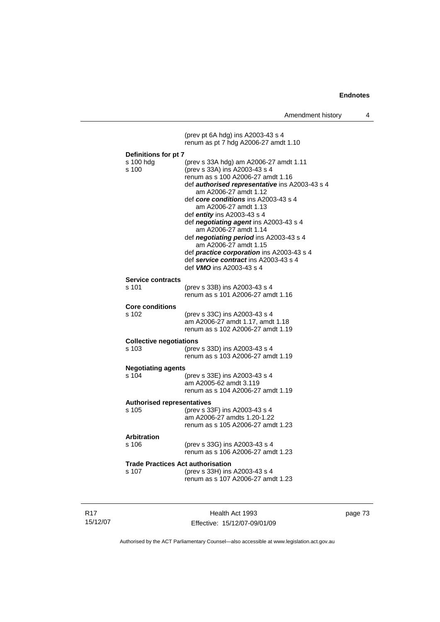|                                            | (prev pt 6A hdg) ins A2003-43 s 4<br>renum as pt 7 hdg A2006-27 amdt 1.10                                                                                                                                                                                                                                                                                                                                                                                                                                                                                 |  |  |  |
|--------------------------------------------|-----------------------------------------------------------------------------------------------------------------------------------------------------------------------------------------------------------------------------------------------------------------------------------------------------------------------------------------------------------------------------------------------------------------------------------------------------------------------------------------------------------------------------------------------------------|--|--|--|
|                                            |                                                                                                                                                                                                                                                                                                                                                                                                                                                                                                                                                           |  |  |  |
| Definitions for pt 7<br>s 100 hdg<br>s 100 | (prev s 33A hdg) am A2006-27 amdt 1.11<br>(prev s 33A) ins A2003-43 s 4<br>renum as s 100 A2006-27 amdt 1.16<br>def authorised representative ins A2003-43 s 4<br>am A2006-27 amdt 1.12<br>def core conditions ins A2003-43 s 4<br>am A2006-27 amdt 1.13<br>def $entity$ ins A2003-43 s 4<br>def negotiating agent ins A2003-43 s 4<br>am A2006-27 amdt 1.14<br>def negotiating period ins A2003-43 s 4<br>am A2006-27 amdt 1.15<br>def practice corporation ins A2003-43 s 4<br>def service contract ins A2003-43 s 4<br>def <b>VMO</b> ins A2003-43 s 4 |  |  |  |
|                                            |                                                                                                                                                                                                                                                                                                                                                                                                                                                                                                                                                           |  |  |  |
| <b>Service contracts</b><br>s 101          | (prev s 33B) ins A2003-43 s 4<br>renum as s 101 A2006-27 amdt 1.16                                                                                                                                                                                                                                                                                                                                                                                                                                                                                        |  |  |  |
| <b>Core conditions</b>                     |                                                                                                                                                                                                                                                                                                                                                                                                                                                                                                                                                           |  |  |  |
| s 102                                      | (prev s 33C) ins A2003-43 s 4<br>am A2006-27 amdt 1.17, amdt 1.18<br>renum as s 102 A2006-27 amdt 1.19                                                                                                                                                                                                                                                                                                                                                                                                                                                    |  |  |  |
| <b>Collective negotiations</b>             |                                                                                                                                                                                                                                                                                                                                                                                                                                                                                                                                                           |  |  |  |
| s 103                                      | (prev s 33D) ins A2003-43 s 4<br>renum as s 103 A2006-27 amdt 1.19                                                                                                                                                                                                                                                                                                                                                                                                                                                                                        |  |  |  |
| <b>Negotiating agents</b>                  |                                                                                                                                                                                                                                                                                                                                                                                                                                                                                                                                                           |  |  |  |
| s 104                                      | (prev s 33E) ins A2003-43 s 4<br>am A2005-62 amdt 3.119<br>renum as s 104 A2006-27 amdt 1.19                                                                                                                                                                                                                                                                                                                                                                                                                                                              |  |  |  |
| <b>Authorised representatives</b>          |                                                                                                                                                                                                                                                                                                                                                                                                                                                                                                                                                           |  |  |  |
| $s$ 105                                    | (prev s 33F) ins A2003-43 s 4<br>am A2006-27 amdts 1.20-1.22<br>renum as s 105 A2006-27 amdt 1.23                                                                                                                                                                                                                                                                                                                                                                                                                                                         |  |  |  |
| Arbitration<br>s 106                       | (prev s 33G) ins A2003-43 s 4<br>renum as s 106 A2006-27 amdt 1.23                                                                                                                                                                                                                                                                                                                                                                                                                                                                                        |  |  |  |
| <b>Trade Practices Act authorisation</b>   |                                                                                                                                                                                                                                                                                                                                                                                                                                                                                                                                                           |  |  |  |
| s 107                                      | (prev s 33H) ins A2003-43 s 4<br>renum as s 107 A2006-27 amdt 1.23                                                                                                                                                                                                                                                                                                                                                                                                                                                                                        |  |  |  |

| R17      |
|----------|
| 15/12/07 |

Health Act 1993 Effective: 15/12/07-09/01/09 page 73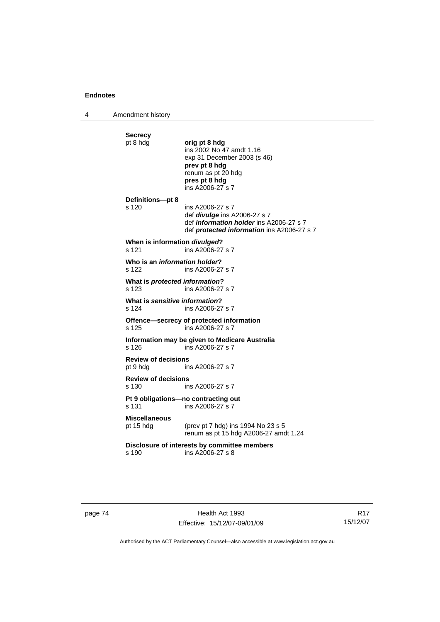4 Amendment history

| <b>Secrecy</b>                          |                                                                                              |
|-----------------------------------------|----------------------------------------------------------------------------------------------|
| pt 8 hdg                                | orig pt 8 hdg<br>ins 2002 No 47 amdt 1.16                                                    |
|                                         | exp 31 December 2003 (s 46)<br>prev pt 8 hdg                                                 |
|                                         | renum as pt 20 hdg                                                                           |
|                                         | pres pt 8 hdg<br>ins A2006-27 s 7                                                            |
| Definitions-pt 8                        |                                                                                              |
| s 120                                   | ins A2006-27 s 7<br>def <i>divulge</i> ins A2006-27 s 7                                      |
|                                         | def information holder ins A2006-27 s 7<br>def <b>protected information</b> ins A2006-27 s 7 |
| When is information divulged?<br>s 121  | ins A2006-27 s 7                                                                             |
| Who is an <i>information holder</i> ?   |                                                                                              |
| s 122                                   | ins A2006-27 s 7                                                                             |
| What is protected information?<br>s 123 | ins A2006-27 s 7                                                                             |
| What is sensitive information?<br>s 124 | ins A2006-27 s 7                                                                             |
| s 125                                   | Offence-secrecy of protected information<br>ins A2006-27 s 7                                 |
| s 126                                   | Information may be given to Medicare Australia<br>ins A2006-27 s 7                           |
| <b>Review of decisions</b><br>pt 9 hdg  | ins A2006-27 s 7                                                                             |
| <b>Review of decisions</b><br>s 130     | ins A2006-27 s 7                                                                             |
| s 131                                   | Pt 9 obligations-no contracting out<br>ins A2006-27 s 7                                      |
| <b>Miscellaneous</b>                    |                                                                                              |
| pt 15 hdg                               | (prev pt 7 hdg) ins 1994 No 23 s 5<br>renum as pt 15 hdg A2006-27 amdt 1.24                  |
| s 190                                   | Disclosure of interests by committee members<br>ins A2006-27 s 8                             |
|                                         |                                                                                              |

page 74 Health Act 1993 Effective: 15/12/07-09/01/09

R17 15/12/07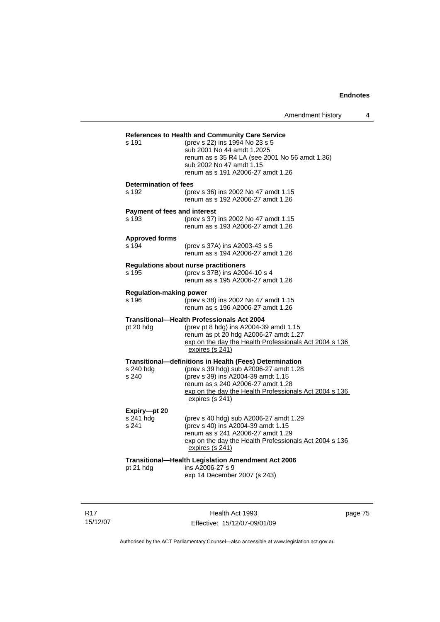| s 191                                        | References to Health and Community Care Service<br>(prev s 22) ins 1994 No 23 s 5<br>sub 2001 No 44 amdt 1.2025<br>renum as s 35 R4 LA (see 2001 No 56 amdt 1.36)<br>sub 2002 No 47 amdt 1.15<br>renum as s 191 A2006-27 amdt 1.26                        |
|----------------------------------------------|-----------------------------------------------------------------------------------------------------------------------------------------------------------------------------------------------------------------------------------------------------------|
| <b>Determination of fees</b><br>s 192        | (prev s 36) ins 2002 No 47 amdt 1.15<br>renum as s 192 A2006-27 amdt 1.26                                                                                                                                                                                 |
| <b>Payment of fees and interest</b><br>s 193 | (prev s 37) ins 2002 No 47 amdt 1.15<br>renum as s 193 A2006-27 amdt 1.26                                                                                                                                                                                 |
| <b>Approved forms</b><br>s 194               | (prev s 37A) ins A2003-43 s 5<br>renum as s 194 A2006-27 amdt 1.26                                                                                                                                                                                        |
| s 195                                        | <b>Regulations about nurse practitioners</b><br>(prev s 37B) ins A2004-10 s 4<br>renum as s 195 A2006-27 amdt 1.26                                                                                                                                        |
| <b>Regulation-making power</b><br>s 196      | (prev s 38) ins 2002 No 47 amdt 1.15<br>renum as s 196 A2006-27 amdt 1.26                                                                                                                                                                                 |
| pt 20 hdg                                    | <b>Transitional-Health Professionals Act 2004</b><br>(prev pt 8 hdg) ins A2004-39 amdt 1.15<br>renum as pt 20 hdg A2006-27 amdt 1.27<br>exp on the day the Health Professionals Act 2004 s 136<br>expires (s 241)                                         |
| s 240 hdg<br>s 240                           | Transitional-definitions in Health (Fees) Determination<br>(prev s 39 hdg) sub A2006-27 amdt 1.28<br>(prev s 39) ins A2004-39 amdt 1.15<br>renum as s 240 A2006-27 amdt 1.28<br>exp on the day the Health Professionals Act 2004 s 136<br>expires (s 241) |
| Expiry-pt 20<br>s 241 hdg<br>s 241           | (prev s 40 hdg) sub A2006-27 amdt 1.29<br>(prev s 40) ins A2004-39 amdt 1.15<br>renum as s 241 A2006-27 amdt 1.29<br>exp on the day the Health Professionals Act 2004 s 136<br>expires (s 241)                                                            |
| pt 21 hdg                                    | Transitional-Health Legislation Amendment Act 2006<br>ins A2006-27 s 9<br>exp 14 December 2007 (s 243)                                                                                                                                                    |

R17 15/12/07

Health Act 1993 Effective: 15/12/07-09/01/09 page 75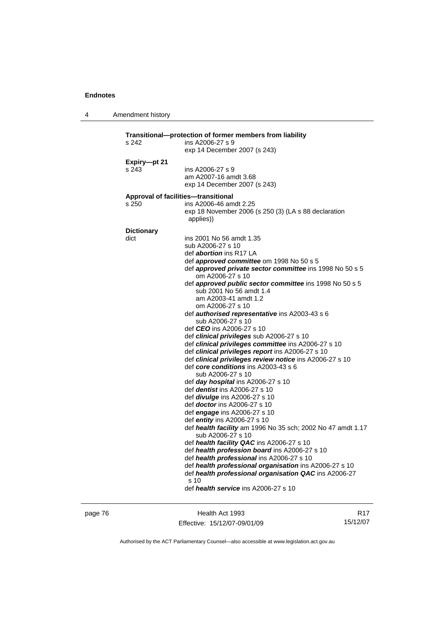4 Amendment history

| Transitional—protection of former members from liability |                                                                                                             |  |  |  |
|----------------------------------------------------------|-------------------------------------------------------------------------------------------------------------|--|--|--|
| s 242                                                    | ins A2006-27 s 9<br>exp 14 December 2007 (s 243)                                                            |  |  |  |
|                                                          |                                                                                                             |  |  |  |
| Expiry-pt 21<br>s 243                                    | ins A2006-27 s 9                                                                                            |  |  |  |
|                                                          | am A2007-16 amdt 3.68                                                                                       |  |  |  |
|                                                          | exp 14 December 2007 (s 243)                                                                                |  |  |  |
|                                                          | Approval of facilities-transitional                                                                         |  |  |  |
| s 250                                                    | ins A2006-46 amdt 2.25                                                                                      |  |  |  |
|                                                          | exp 18 November 2006 (s 250 (3) (LA s 88 declaration<br>applies))                                           |  |  |  |
| <b>Dictionary</b>                                        |                                                                                                             |  |  |  |
| dict                                                     | ins 2001 No 56 amdt 1.35                                                                                    |  |  |  |
|                                                          | sub A2006-27 s 10                                                                                           |  |  |  |
|                                                          | def <i>abortion</i> ins R17 LA                                                                              |  |  |  |
|                                                          | def approved committee om 1998 No 50 s 5                                                                    |  |  |  |
|                                                          | def approved private sector committee ins 1998 No 50 s 5<br>om A2006-27 s 10                                |  |  |  |
|                                                          | def <b>approved public sector committee</b> ins 1998 No 50 s 5                                              |  |  |  |
|                                                          | sub 2001 No 56 amdt 1.4                                                                                     |  |  |  |
|                                                          | am A2003-41 amdt 1.2                                                                                        |  |  |  |
|                                                          | om A2006-27 s 10                                                                                            |  |  |  |
|                                                          | def <b>authorised representative</b> ins A2003-43 s 6                                                       |  |  |  |
|                                                          | sub A2006-27 s 10                                                                                           |  |  |  |
|                                                          | def <i>CEO</i> ins A2006-27 s 10                                                                            |  |  |  |
|                                                          | def clinical privileges sub A2006-27 s 10                                                                   |  |  |  |
|                                                          | def clinical privileges committee ins A2006-27 s 10                                                         |  |  |  |
|                                                          | def clinical privileges report ins A2006-27 s 10<br>def clinical privileges review notice ins A2006-27 s 10 |  |  |  |
|                                                          | def core conditions ins A2003-43 s 6                                                                        |  |  |  |
|                                                          | sub A2006-27 s 10                                                                                           |  |  |  |
|                                                          | def day hospital ins A2006-27 s 10                                                                          |  |  |  |
|                                                          | def <i>dentist</i> ins A2006-27 s 10                                                                        |  |  |  |
|                                                          | def <i>divulge</i> ins A2006-27 s 10                                                                        |  |  |  |
|                                                          | def doctor ins A2006-27 s 10                                                                                |  |  |  |
|                                                          | def engage ins A2006-27 s 10                                                                                |  |  |  |
|                                                          | def entity ins A2006-27 s 10                                                                                |  |  |  |
|                                                          | def health facility am 1996 No 35 sch; 2002 No 47 amdt 1.17<br>sub A2006-27 s 10                            |  |  |  |
|                                                          | def health facility QAC ins A2006-27 s 10                                                                   |  |  |  |
|                                                          | def health profession board ins A2006-27 s 10                                                               |  |  |  |
|                                                          | def health professional ins A2006-27 s 10                                                                   |  |  |  |
|                                                          | def health professional organisation ins A2006-27 s 10                                                      |  |  |  |
|                                                          | def health professional organisation QAC ins A2006-27                                                       |  |  |  |
|                                                          | s <sub>10</sub>                                                                                             |  |  |  |
|                                                          | def health service ins A2006-27 s 10                                                                        |  |  |  |
|                                                          |                                                                                                             |  |  |  |

page 76 **Health Act 1993** Effective: 15/12/07-09/01/09

R17 15/12/07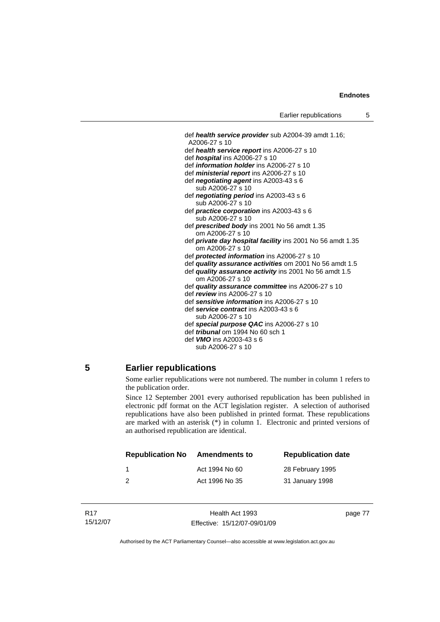def *health service provider* sub A2004-39 amdt 1.16; A2006-27 s 10 def *health service report* ins A2006-27 s 10 def *hospital* ins A2006-27 s 10 def *information holder* ins A2006-27 s 10 def *ministerial report* ins A2006-27 s 10 def *negotiating agent* ins A2003-43 s 6 sub A2006-27 s 10 def *negotiating period* ins A2003-43 s 6 sub A2006-27 s 10 def *practice corporation* ins A2003-43 s 6 sub A2006-27 s 10 def *prescribed body* ins 2001 No 56 amdt 1.35 om A2006-27 s 10 def *private day hospital facility* ins 2001 No 56 amdt 1.35 om A2006-27 s 10 def *protected information* ins A2006-27 s 10 def *quality assurance activities* om 2001 No 56 amdt 1.5 def *quality assurance activity* ins 2001 No 56 amdt 1.5 om A2006-27 s 10 def *quality assurance committee* ins A2006-27 s 10 def *review* ins A2006-27 s 10 def *sensitive information* ins A2006-27 s 10 def *service contract* ins A2003-43 s 6 sub A2006-27 s 10 def *special purpose QAC* ins A2006-27 s 10 def *tribunal* om 1994 No 60 sch 1 def *VMO* ins A2003-43 s 6 sub A2006-27 s 10

# **5 Earlier republications**

Some earlier republications were not numbered. The number in column 1 refers to the publication order.

Since 12 September 2001 every authorised republication has been published in electronic pdf format on the ACT legislation register. A selection of authorised republications have also been published in printed format. These republications are marked with an asterisk (\*) in column 1. Electronic and printed versions of an authorised republication are identical.

| <b>Republication No</b> | <b>Amendments to</b> | <b>Republication date</b> |
|-------------------------|----------------------|---------------------------|
|                         | Act 1994 No 60       | 28 February 1995          |
|                         | Act 1996 No 35       | 31 January 1998           |

| R17      |  |
|----------|--|
| 15/12/07 |  |

Health Act 1993 Effective: 15/12/07-09/01/09 page 77